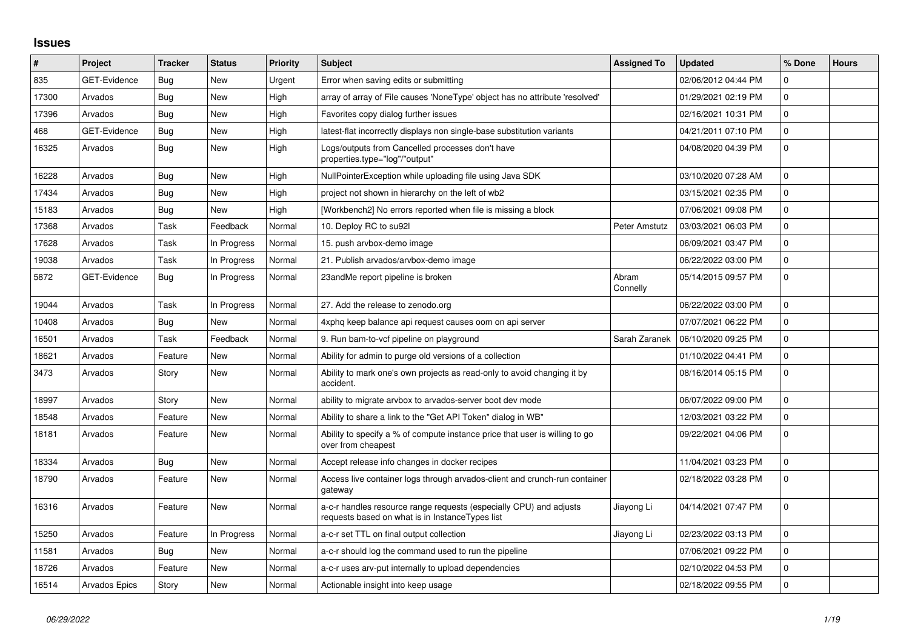## **Issues**

| #     | Project              | <b>Tracker</b> | <b>Status</b> | <b>Priority</b> | <b>Subject</b>                                                                                                        | <b>Assigned To</b>   | <b>Updated</b>      | % Done      | <b>Hours</b> |
|-------|----------------------|----------------|---------------|-----------------|-----------------------------------------------------------------------------------------------------------------------|----------------------|---------------------|-------------|--------------|
| 835   | <b>GET-Evidence</b>  | <b>Bug</b>     | <b>New</b>    | Urgent          | Error when saving edits or submitting                                                                                 |                      | 02/06/2012 04:44 PM | $\Omega$    |              |
| 17300 | Arvados              | Bug            | <b>New</b>    | High            | array of array of File causes 'NoneType' object has no attribute 'resolved'                                           |                      | 01/29/2021 02:19 PM | $\mathbf 0$ |              |
| 17396 | Arvados              | <b>Bug</b>     | <b>New</b>    | High            | Favorites copy dialog further issues                                                                                  |                      | 02/16/2021 10:31 PM | 0           |              |
| 468   | <b>GET-Evidence</b>  | <b>Bug</b>     | <b>New</b>    | High            | latest-flat incorrectly displays non single-base substitution variants                                                |                      | 04/21/2011 07:10 PM | $\mathbf 0$ |              |
| 16325 | Arvados              | Bug            | <b>New</b>    | High            | Logs/outputs from Cancelled processes don't have<br>properties.type="log"/"output"                                    |                      | 04/08/2020 04:39 PM | $\mathbf 0$ |              |
| 16228 | Arvados              | Bug            | <b>New</b>    | High            | NullPointerException while uploading file using Java SDK                                                              |                      | 03/10/2020 07:28 AM | $\pmb{0}$   |              |
| 17434 | Arvados              | <b>Bug</b>     | New           | High            | project not shown in hierarchy on the left of wb2                                                                     |                      | 03/15/2021 02:35 PM | 0           |              |
| 15183 | Arvados              | <b>Bug</b>     | <b>New</b>    | High            | [Workbench2] No errors reported when file is missing a block                                                          |                      | 07/06/2021 09:08 PM | $\mathbf 0$ |              |
| 17368 | Arvados              | Task           | Feedback      | Normal          | 10. Deploy RC to su92l                                                                                                | <b>Peter Amstutz</b> | 03/03/2021 06:03 PM | 0           |              |
| 17628 | Arvados              | Task           | In Progress   | Normal          | 15. push arvbox-demo image                                                                                            |                      | 06/09/2021 03:47 PM | 0           |              |
| 19038 | Arvados              | Task           | In Progress   | Normal          | 21. Publish arvados/arvbox-demo image                                                                                 |                      | 06/22/2022 03:00 PM | $\mathbf 0$ |              |
| 5872  | <b>GET-Evidence</b>  | <b>Bug</b>     | In Progress   | Normal          | 23andMe report pipeline is broken                                                                                     | Abram<br>Connelly    | 05/14/2015 09:57 PM | $\mathbf 0$ |              |
| 19044 | Arvados              | Task           | In Progress   | Normal          | 27. Add the release to zenodo.org                                                                                     |                      | 06/22/2022 03:00 PM | $\pmb{0}$   |              |
| 10408 | Arvados              | <b>Bug</b>     | New           | Normal          | 4xphq keep balance api request causes oom on api server                                                               |                      | 07/07/2021 06:22 PM | 0           |              |
| 16501 | Arvados              | Task           | Feedback      | Normal          | 9. Run bam-to-vcf pipeline on playground                                                                              | Sarah Zaranek        | 06/10/2020 09:25 PM | $\mathbf 0$ |              |
| 18621 | Arvados              | Feature        | <b>New</b>    | Normal          | Ability for admin to purge old versions of a collection                                                               |                      | 01/10/2022 04:41 PM | $\mathbf 0$ |              |
| 3473  | Arvados              | Story          | <b>New</b>    | Normal          | Ability to mark one's own projects as read-only to avoid changing it by<br>accident.                                  |                      | 08/16/2014 05:15 PM | 0           |              |
| 18997 | Arvados              | Story          | <b>New</b>    | Normal          | ability to migrate arvbox to arvados-server boot dev mode                                                             |                      | 06/07/2022 09:00 PM | $\Omega$    |              |
| 18548 | Arvados              | Feature        | <b>New</b>    | Normal          | Ability to share a link to the "Get API Token" dialog in WB"                                                          |                      | 12/03/2021 03:22 PM | $\pmb{0}$   |              |
| 18181 | Arvados              | Feature        | <b>New</b>    | Normal          | Ability to specify a % of compute instance price that user is willing to go<br>over from cheapest                     |                      | 09/22/2021 04:06 PM | $\mathbf 0$ |              |
| 18334 | Arvados              | <b>Bug</b>     | <b>New</b>    | Normal          | Accept release info changes in docker recipes                                                                         |                      | 11/04/2021 03:23 PM | $\mathbf 0$ |              |
| 18790 | Arvados              | Feature        | New           | Normal          | Access live container logs through arvados-client and crunch-run container<br>gateway                                 |                      | 02/18/2022 03:28 PM | $\mathbf 0$ |              |
| 16316 | Arvados              | Feature        | <b>New</b>    | Normal          | a-c-r handles resource range requests (especially CPU) and adjusts<br>requests based on what is in InstanceTypes list | Jiayong Li           | 04/14/2021 07:47 PM | $\mathbf 0$ |              |
| 15250 | Arvados              | Feature        | In Progress   | Normal          | a-c-r set TTL on final output collection                                                                              | Jiayong Li           | 02/23/2022 03:13 PM | $\pmb{0}$   |              |
| 11581 | Arvados              | <b>Bug</b>     | New           | Normal          | a-c-r should log the command used to run the pipeline                                                                 |                      | 07/06/2021 09:22 PM | 0           |              |
| 18726 | Arvados              | Feature        | <b>New</b>    | Normal          | a-c-r uses arv-put internally to upload dependencies                                                                  |                      | 02/10/2022 04:53 PM | $\pmb{0}$   |              |
| 16514 | <b>Arvados Epics</b> | Story          | <b>New</b>    | Normal          | Actionable insight into keep usage                                                                                    |                      | 02/18/2022 09:55 PM | $\mathbf 0$ |              |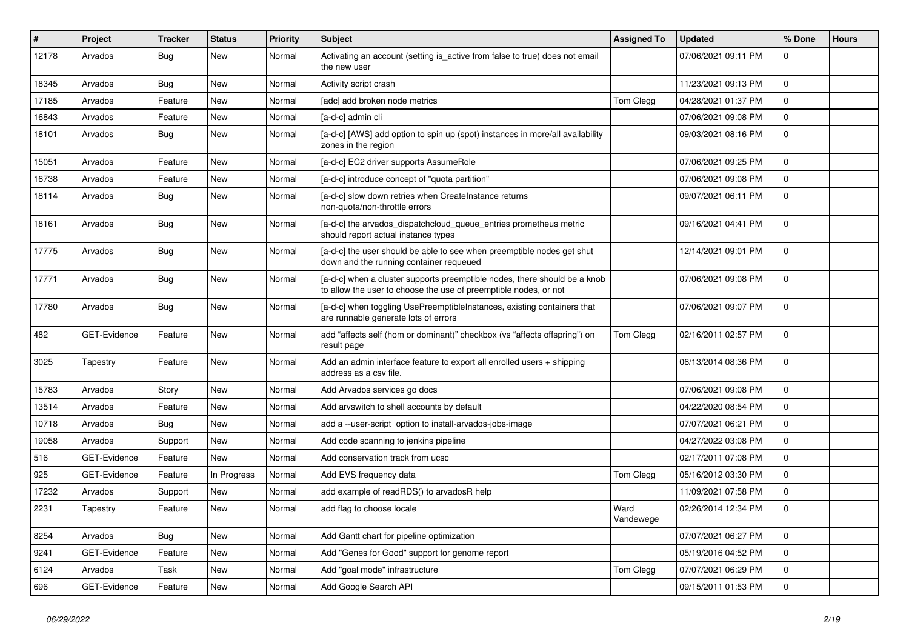| $\sharp$ | Project             | Tracker    | <b>Status</b> | <b>Priority</b> | <b>Subject</b>                                                                                                                                | <b>Assigned To</b> | <b>Updated</b>      | % Done      | <b>Hours</b> |
|----------|---------------------|------------|---------------|-----------------|-----------------------------------------------------------------------------------------------------------------------------------------------|--------------------|---------------------|-------------|--------------|
| 12178    | Arvados             | <b>Bug</b> | New           | Normal          | Activating an account (setting is_active from false to true) does not email<br>the new user                                                   |                    | 07/06/2021 09:11 PM | $\Omega$    |              |
| 18345    | Arvados             | <b>Bug</b> | New           | Normal          | Activity script crash                                                                                                                         |                    | 11/23/2021 09:13 PM | $\mathbf 0$ |              |
| 17185    | Arvados             | Feature    | New           | Normal          | [adc] add broken node metrics                                                                                                                 | Tom Clegg          | 04/28/2021 01:37 PM | $\mathbf 0$ |              |
| 16843    | Arvados             | Feature    | New           | Normal          | [a-d-c] admin cli                                                                                                                             |                    | 07/06/2021 09:08 PM | $\mathbf 0$ |              |
| 18101    | Arvados             | <b>Bug</b> | New           | Normal          | [a-d-c] [AWS] add option to spin up (spot) instances in more/all availability<br>zones in the region                                          |                    | 09/03/2021 08:16 PM | $\mathbf 0$ |              |
| 15051    | Arvados             | Feature    | <b>New</b>    | Normal          | [a-d-c] EC2 driver supports AssumeRole                                                                                                        |                    | 07/06/2021 09:25 PM | $\mathbf 0$ |              |
| 16738    | Arvados             | Feature    | New           | Normal          | [a-d-c] introduce concept of "quota partition"                                                                                                |                    | 07/06/2021 09:08 PM | $\Omega$    |              |
| 18114    | Arvados             | Bug        | New           | Normal          | [a-d-c] slow down retries when CreateInstance returns<br>non-quota/non-throttle errors                                                        |                    | 09/07/2021 06:11 PM | $\mathbf 0$ |              |
| 18161    | Arvados             | <b>Bug</b> | New           | Normal          | [a-d-c] the arvados_dispatchcloud_queue_entries prometheus metric<br>should report actual instance types                                      |                    | 09/16/2021 04:41 PM | $\mathbf 0$ |              |
| 17775    | Arvados             | <b>Bug</b> | New           | Normal          | [a-d-c] the user should be able to see when preemptible nodes get shut<br>down and the running container requeued                             |                    | 12/14/2021 09:01 PM | $\mathbf 0$ |              |
| 17771    | Arvados             | <b>Bug</b> | <b>New</b>    | Normal          | [a-d-c] when a cluster supports preemptible nodes, there should be a knob<br>to allow the user to choose the use of preemptible nodes, or not |                    | 07/06/2021 09:08 PM | $\mathbf 0$ |              |
| 17780    | Arvados             | <b>Bug</b> | New           | Normal          | [a-d-c] when toggling UsePreemptibleInstances, existing containers that<br>are runnable generate lots of errors                               |                    | 07/06/2021 09:07 PM | $\Omega$    |              |
| 482      | GET-Evidence        | Feature    | New           | Normal          | add "affects self (hom or dominant)" checkbox (vs "affects offspring") on<br>result page                                                      | Tom Clegg          | 02/16/2011 02:57 PM | $\Omega$    |              |
| 3025     | Tapestry            | Feature    | New           | Normal          | Add an admin interface feature to export all enrolled users + shipping<br>address as a csv file.                                              |                    | 06/13/2014 08:36 PM | $\mathbf 0$ |              |
| 15783    | Arvados             | Story      | <b>New</b>    | Normal          | Add Arvados services go docs                                                                                                                  |                    | 07/06/2021 09:08 PM | $\mathbf 0$ |              |
| 13514    | Arvados             | Feature    | New           | Normal          | Add arvswitch to shell accounts by default                                                                                                    |                    | 04/22/2020 08:54 PM | $\mathbf 0$ |              |
| 10718    | Arvados             | Bug        | New           | Normal          | add a --user-script option to install-arvados-jobs-image                                                                                      |                    | 07/07/2021 06:21 PM | $\mathbf 0$ |              |
| 19058    | Arvados             | Support    | New           | Normal          | Add code scanning to jenkins pipeline                                                                                                         |                    | 04/27/2022 03:08 PM | $\mathbf 0$ |              |
| 516      | <b>GET-Evidence</b> | Feature    | New           | Normal          | Add conservation track from ucsc                                                                                                              |                    | 02/17/2011 07:08 PM | $\Omega$    |              |
| 925      | <b>GET-Evidence</b> | Feature    | In Progress   | Normal          | Add EVS frequency data                                                                                                                        | Tom Clegg          | 05/16/2012 03:30 PM | $\mathbf 0$ |              |
| 17232    | Arvados             | Support    | New           | Normal          | add example of readRDS() to arvadosR help                                                                                                     |                    | 11/09/2021 07:58 PM | $\mathbf 0$ |              |
| 2231     | Tapestry            | Feature    | New           | Normal          | add flag to choose locale                                                                                                                     | Ward<br>Vandewege  | 02/26/2014 12:34 PM | $\mathbf 0$ |              |
| 8254     | Arvados             | <b>Bug</b> | New           | Normal          | Add Gantt chart for pipeline optimization                                                                                                     |                    | 07/07/2021 06:27 PM | $\mathbf 0$ |              |
| 9241     | GET-Evidence        | Feature    | New           | Normal          | Add "Genes for Good" support for genome report                                                                                                |                    | 05/19/2016 04:52 PM | $\pmb{0}$   |              |
| 6124     | Arvados             | Task       | New           | Normal          | Add "goal mode" infrastructure                                                                                                                | Tom Clegg          | 07/07/2021 06:29 PM | 0           |              |
| 696      | GET-Evidence        | Feature    | New           | Normal          | Add Google Search API                                                                                                                         |                    | 09/15/2011 01:53 PM | $\mathbf 0$ |              |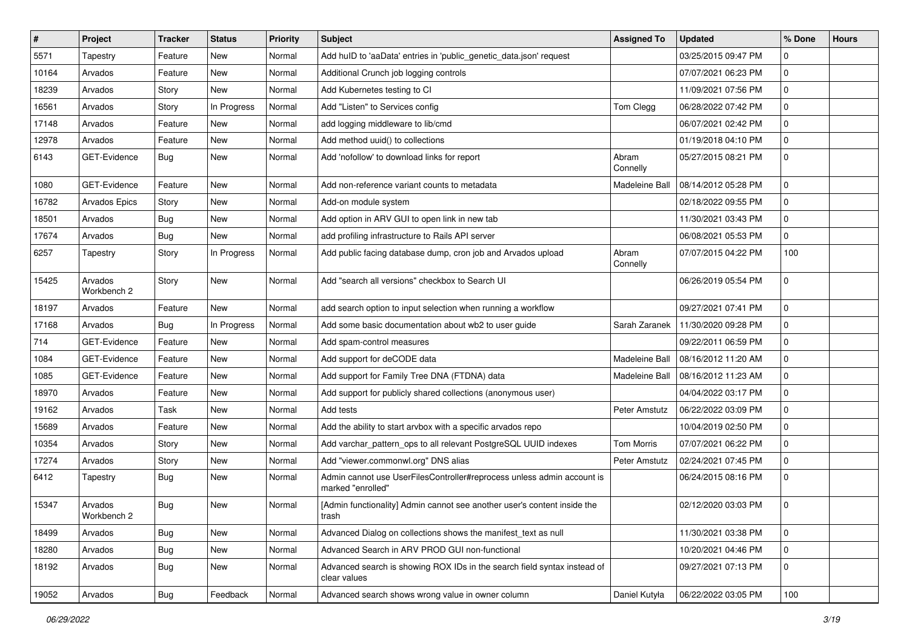| $\vert$ # | Project                | <b>Tracker</b> | <b>Status</b> | <b>Priority</b> | <b>Subject</b>                                                                              | <b>Assigned To</b> | <b>Updated</b>      | % Done      | <b>Hours</b> |
|-----------|------------------------|----------------|---------------|-----------------|---------------------------------------------------------------------------------------------|--------------------|---------------------|-------------|--------------|
| 5571      | Tapestry               | Feature        | New           | Normal          | Add hulD to 'aaData' entries in 'public_genetic_data.json' request                          |                    | 03/25/2015 09:47 PM | $\Omega$    |              |
| 10164     | Arvados                | Feature        | New           | Normal          | Additional Crunch job logging controls                                                      |                    | 07/07/2021 06:23 PM | $\mathbf 0$ |              |
| 18239     | Arvados                | Story          | New           | Normal          | Add Kubernetes testing to CI                                                                |                    | 11/09/2021 07:56 PM | 0           |              |
| 16561     | Arvados                | Story          | In Progress   | Normal          | Add "Listen" to Services config                                                             | Tom Clegg          | 06/28/2022 07:42 PM | 0           |              |
| 17148     | Arvados                | Feature        | New           | Normal          | add logging middleware to lib/cmd                                                           |                    | 06/07/2021 02:42 PM | 0           |              |
| 12978     | Arvados                | Feature        | New           | Normal          | Add method uuid() to collections                                                            |                    | 01/19/2018 04:10 PM | $\mathbf 0$ |              |
| 6143      | GET-Evidence           | Bug            | New           | Normal          | Add 'nofollow' to download links for report                                                 | Abram<br>Connelly  | 05/27/2015 08:21 PM | 0           |              |
| 1080      | GET-Evidence           | Feature        | New           | Normal          | Add non-reference variant counts to metadata                                                | Madeleine Ball     | 08/14/2012 05:28 PM | $\mathbf 0$ |              |
| 16782     | <b>Arvados Epics</b>   | Story          | New           | Normal          | Add-on module system                                                                        |                    | 02/18/2022 09:55 PM | 0           |              |
| 18501     | Arvados                | <b>Bug</b>     | New           | Normal          | Add option in ARV GUI to open link in new tab                                               |                    | 11/30/2021 03:43 PM | 0           |              |
| 17674     | Arvados                | Bug            | New           | Normal          | add profiling infrastructure to Rails API server                                            |                    | 06/08/2021 05:53 PM | $\mathbf 0$ |              |
| 6257      | Tapestry               | Story          | In Progress   | Normal          | Add public facing database dump, cron job and Arvados upload                                | Abram<br>Connelly  | 07/07/2015 04:22 PM | 100         |              |
| 15425     | Arvados<br>Workbench 2 | Story          | New           | Normal          | Add "search all versions" checkbox to Search UI                                             |                    | 06/26/2019 05:54 PM | $\mathbf 0$ |              |
| 18197     | Arvados                | Feature        | New           | Normal          | add search option to input selection when running a workflow                                |                    | 09/27/2021 07:41 PM | $\mathbf 0$ |              |
| 17168     | Arvados                | Bug            | In Progress   | Normal          | Add some basic documentation about wb2 to user guide                                        | Sarah Zaranek      | 11/30/2020 09:28 PM | 0           |              |
| 714       | GET-Evidence           | Feature        | New           | Normal          | Add spam-control measures                                                                   |                    | 09/22/2011 06:59 PM | 0           |              |
| 1084      | GET-Evidence           | Feature        | New           | Normal          | Add support for deCODE data                                                                 | Madeleine Ball     | 08/16/2012 11:20 AM | 0           |              |
| 1085      | GET-Evidence           | Feature        | New           | Normal          | Add support for Family Tree DNA (FTDNA) data                                                | Madeleine Ball     | 08/16/2012 11:23 AM | 0           |              |
| 18970     | Arvados                | Feature        | New           | Normal          | Add support for publicly shared collections (anonymous user)                                |                    | 04/04/2022 03:17 PM | $\mathbf 0$ |              |
| 19162     | Arvados                | Task           | New           | Normal          | Add tests                                                                                   | Peter Amstutz      | 06/22/2022 03:09 PM | $\mathbf 0$ |              |
| 15689     | Arvados                | Feature        | New           | Normal          | Add the ability to start arvbox with a specific arvados repo                                |                    | 10/04/2019 02:50 PM | 0           |              |
| 10354     | Arvados                | Story          | New           | Normal          | Add varchar_pattern_ops to all relevant PostgreSQL UUID indexes                             | <b>Tom Morris</b>  | 07/07/2021 06:22 PM | $\mathbf 0$ |              |
| 17274     | Arvados                | Story          | New           | Normal          | Add "viewer.commonwl.org" DNS alias                                                         | Peter Amstutz      | 02/24/2021 07:45 PM | 0           |              |
| 6412      | Tapestry               | Bug            | New           | Normal          | Admin cannot use UserFilesController#reprocess unless admin account is<br>marked "enrolled" |                    | 06/24/2015 08:16 PM | $\mathbf 0$ |              |
| 15347     | Arvados<br>Workbench 2 | Bug            | New           | Normal          | [Admin functionality] Admin cannot see another user's content inside the<br>trash           |                    | 02/12/2020 03:03 PM | 0           |              |
| 18499     | Arvados                | Bug            | New           | Normal          | Advanced Dialog on collections shows the manifest_text as null                              |                    | 11/30/2021 03:38 PM | $\mathbf 0$ |              |
| 18280     | Arvados                | <b>Bug</b>     | New           | Normal          | Advanced Search in ARV PROD GUI non-functional                                              |                    | 10/20/2021 04:46 PM | 0           |              |
| 18192     | Arvados                | Bug            | New           | Normal          | Advanced search is showing ROX IDs in the search field syntax instead of<br>clear values    |                    | 09/27/2021 07:13 PM | 0           |              |
| 19052     | Arvados                | <b>Bug</b>     | Feedback      | Normal          | Advanced search shows wrong value in owner column                                           | Daniel Kutyła      | 06/22/2022 03:05 PM | 100         |              |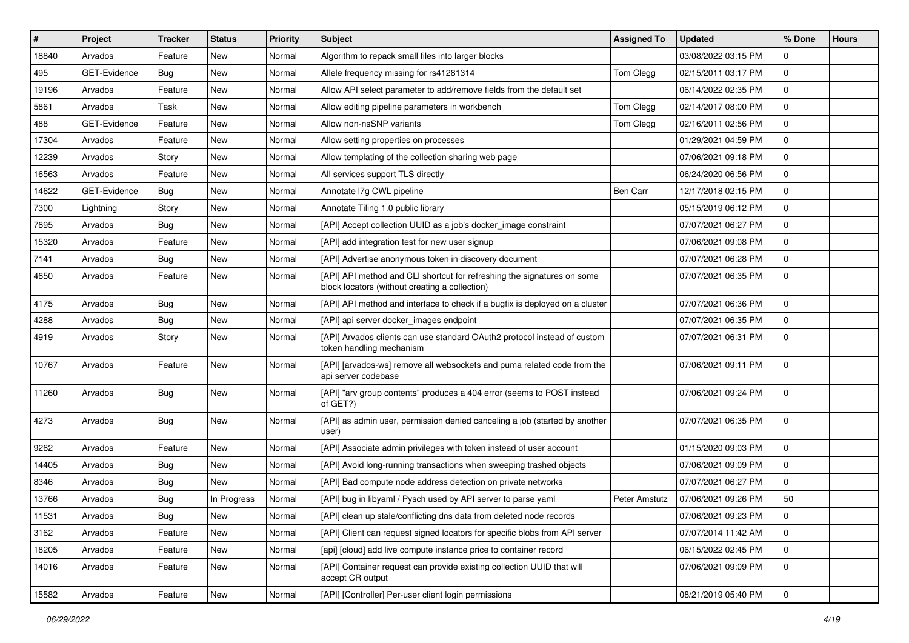| ∦     | Project      | <b>Tracker</b> | <b>Status</b> | <b>Priority</b> | <b>Subject</b>                                                                                                            | <b>Assigned To</b> | <b>Updated</b>      | % Done      | <b>Hours</b> |
|-------|--------------|----------------|---------------|-----------------|---------------------------------------------------------------------------------------------------------------------------|--------------------|---------------------|-------------|--------------|
| 18840 | Arvados      | Feature        | New           | Normal          | Algorithm to repack small files into larger blocks                                                                        |                    | 03/08/2022 03:15 PM | $\Omega$    |              |
| 495   | GET-Evidence | Bug            | New           | Normal          | Allele frequency missing for rs41281314                                                                                   | Tom Clegg          | 02/15/2011 03:17 PM | $\mathbf 0$ |              |
| 19196 | Arvados      | Feature        | New           | Normal          | Allow API select parameter to add/remove fields from the default set                                                      |                    | 06/14/2022 02:35 PM | $\mathbf 0$ |              |
| 5861  | Arvados      | Task           | New           | Normal          | Allow editing pipeline parameters in workbench                                                                            | Tom Clegg          | 02/14/2017 08:00 PM | $\mathbf 0$ |              |
| 488   | GET-Evidence | Feature        | New           | Normal          | Allow non-nsSNP variants                                                                                                  | Tom Clegg          | 02/16/2011 02:56 PM | $\mathbf 0$ |              |
| 17304 | Arvados      | Feature        | New           | Normal          | Allow setting properties on processes                                                                                     |                    | 01/29/2021 04:59 PM | $\Omega$    |              |
| 12239 | Arvados      | Story          | New           | Normal          | Allow templating of the collection sharing web page                                                                       |                    | 07/06/2021 09:18 PM | $\mathbf 0$ |              |
| 16563 | Arvados      | Feature        | New           | Normal          | All services support TLS directly                                                                                         |                    | 06/24/2020 06:56 PM | $\mathbf 0$ |              |
| 14622 | GET-Evidence | Bug            | New           | Normal          | Annotate I7g CWL pipeline                                                                                                 | Ben Carr           | 12/17/2018 02:15 PM | $\mathbf 0$ |              |
| 7300  | Lightning    | Story          | New           | Normal          | Annotate Tiling 1.0 public library                                                                                        |                    | 05/15/2019 06:12 PM | $\mathbf 0$ |              |
| 7695  | Arvados      | <b>Bug</b>     | New           | Normal          | [API] Accept collection UUID as a job's docker image constraint                                                           |                    | 07/07/2021 06:27 PM | $\mathbf 0$ |              |
| 15320 | Arvados      | Feature        | New           | Normal          | [API] add integration test for new user signup                                                                            |                    | 07/06/2021 09:08 PM | $\mathbf 0$ |              |
| 7141  | Arvados      | <b>Bug</b>     | New           | Normal          | [API] Advertise anonymous token in discovery document                                                                     |                    | 07/07/2021 06:28 PM | 0           |              |
| 4650  | Arvados      | Feature        | New           | Normal          | [API] API method and CLI shortcut for refreshing the signatures on some<br>block locators (without creating a collection) |                    | 07/07/2021 06:35 PM | $\mathbf 0$ |              |
| 4175  | Arvados      | <b>Bug</b>     | New           | Normal          | [API] API method and interface to check if a bugfix is deployed on a cluster                                              |                    | 07/07/2021 06:36 PM | $\mathbf 0$ |              |
| 4288  | Arvados      | <b>Bug</b>     | New           | Normal          | [API] api server docker_images endpoint                                                                                   |                    | 07/07/2021 06:35 PM | $\mathbf 0$ |              |
| 4919  | Arvados      | Story          | New           | Normal          | [API] Arvados clients can use standard OAuth2 protocol instead of custom<br>token handling mechanism                      |                    | 07/07/2021 06:31 PM | $\mathbf 0$ |              |
| 10767 | Arvados      | Feature        | New           | Normal          | [API] [arvados-ws] remove all websockets and puma related code from the<br>api server codebase                            |                    | 07/06/2021 09:11 PM | $\Omega$    |              |
| 11260 | Arvados      | <b>Bug</b>     | New           | Normal          | [API] "arv group contents" produces a 404 error (seems to POST instead<br>of GET?)                                        |                    | 07/06/2021 09:24 PM | $\Omega$    |              |
| 4273  | Arvados      | <b>Bug</b>     | New           | Normal          | [API] as admin user, permission denied canceling a job (started by another<br>user)                                       |                    | 07/07/2021 06:35 PM | $\mathbf 0$ |              |
| 9262  | Arvados      | Feature        | New           | Normal          | [API] Associate admin privileges with token instead of user account                                                       |                    | 01/15/2020 09:03 PM | $\mathbf 0$ |              |
| 14405 | Arvados      | <b>Bug</b>     | New           | Normal          | [API] Avoid long-running transactions when sweeping trashed objects                                                       |                    | 07/06/2021 09:09 PM | $\mathbf 0$ |              |
| 8346  | Arvados      | <b>Bug</b>     | New           | Normal          | [API] Bad compute node address detection on private networks                                                              |                    | 07/07/2021 06:27 PM | $\mathbf 0$ |              |
| 13766 | Arvados      | <b>Bug</b>     | In Progress   | Normal          | [API] bug in libyaml / Pysch used by API server to parse yaml                                                             | Peter Amstutz      | 07/06/2021 09:26 PM | 50          |              |
| 11531 | Arvados      | <b>Bug</b>     | New           | Normal          | [API] clean up stale/conflicting dns data from deleted node records                                                       |                    | 07/06/2021 09:23 PM | 0           |              |
| 3162  | Arvados      | Feature        | New           | Normal          | [API] Client can request signed locators for specific blobs from API server                                               |                    | 07/07/2014 11:42 AM | $\mathbf 0$ |              |
| 18205 | Arvados      | Feature        | New           | Normal          | [api] [cloud] add live compute instance price to container record                                                         |                    | 06/15/2022 02:45 PM | 0           |              |
| 14016 | Arvados      | Feature        | New           | Normal          | [API] Container request can provide existing collection UUID that will<br>accept CR output                                |                    | 07/06/2021 09:09 PM | 0           |              |
| 15582 | Arvados      | Feature        | New           | Normal          | [API] [Controller] Per-user client login permissions                                                                      |                    | 08/21/2019 05:40 PM | 0           |              |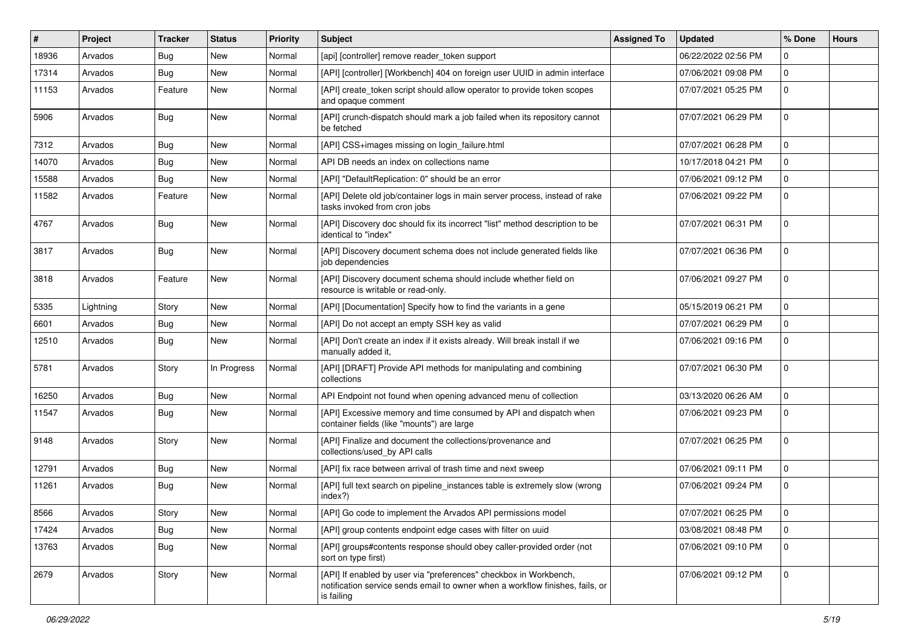| #     | Project   | <b>Tracker</b> | <b>Status</b> | <b>Priority</b> | <b>Subject</b>                                                                                                                                                   | <b>Assigned To</b> | <b>Updated</b>      | % Done      | <b>Hours</b> |
|-------|-----------|----------------|---------------|-----------------|------------------------------------------------------------------------------------------------------------------------------------------------------------------|--------------------|---------------------|-------------|--------------|
| 18936 | Arvados   | <b>Bug</b>     | New           | Normal          | [api] [controller] remove reader_token support                                                                                                                   |                    | 06/22/2022 02:56 PM | $\Omega$    |              |
| 17314 | Arvados   | Bug            | <b>New</b>    | Normal          | [API] [controller] [Workbench] 404 on foreign user UUID in admin interface                                                                                       |                    | 07/06/2021 09:08 PM | $\mathbf 0$ |              |
| 11153 | Arvados   | Feature        | New           | Normal          | [API] create token script should allow operator to provide token scopes<br>and opaque comment                                                                    |                    | 07/07/2021 05:25 PM | $\mathbf 0$ |              |
| 5906  | Arvados   | Bug            | New           | Normal          | [API] crunch-dispatch should mark a job failed when its repository cannot<br>be fetched                                                                          |                    | 07/07/2021 06:29 PM | $\mathbf 0$ |              |
| 7312  | Arvados   | Bug            | New           | Normal          | [API] CSS+images missing on login_failure.html                                                                                                                   |                    | 07/07/2021 06:28 PM | $\mathbf 0$ |              |
| 14070 | Arvados   | <b>Bug</b>     | New           | Normal          | API DB needs an index on collections name                                                                                                                        |                    | 10/17/2018 04:21 PM | $\mathbf 0$ |              |
| 15588 | Arvados   | <b>Bug</b>     | New           | Normal          | [API] "DefaultReplication: 0" should be an error                                                                                                                 |                    | 07/06/2021 09:12 PM | $\Omega$    |              |
| 11582 | Arvados   | Feature        | New           | Normal          | [API] Delete old job/container logs in main server process, instead of rake<br>tasks invoked from cron jobs                                                      |                    | 07/06/2021 09:22 PM | $\Omega$    |              |
| 4767  | Arvados   | Bug            | New           | Normal          | [API] Discovery doc should fix its incorrect "list" method description to be<br>identical to "index"                                                             |                    | 07/07/2021 06:31 PM | $\mathbf 0$ |              |
| 3817  | Arvados   | Bug            | New           | Normal          | [API] Discovery document schema does not include generated fields like<br>job dependencies                                                                       |                    | 07/07/2021 06:36 PM | $\mathbf 0$ |              |
| 3818  | Arvados   | Feature        | New           | Normal          | [API] Discovery document schema should include whether field on<br>resource is writable or read-only.                                                            |                    | 07/06/2021 09:27 PM | $\mathbf 0$ |              |
| 5335  | Lightning | Story          | New           | Normal          | [API] [Documentation] Specify how to find the variants in a gene                                                                                                 |                    | 05/15/2019 06:21 PM | $\mathbf 0$ |              |
| 6601  | Arvados   | Bug            | New           | Normal          | [API] Do not accept an empty SSH key as valid                                                                                                                    |                    | 07/07/2021 06:29 PM | $\mathbf 0$ |              |
| 12510 | Arvados   | <b>Bug</b>     | New           | Normal          | [API] Don't create an index if it exists already. Will break install if we<br>manually added it,                                                                 |                    | 07/06/2021 09:16 PM | $\mathbf 0$ |              |
| 5781  | Arvados   | Story          | In Progress   | Normal          | [API] [DRAFT] Provide API methods for manipulating and combining<br>collections                                                                                  |                    | 07/07/2021 06:30 PM | $\mathbf 0$ |              |
| 16250 | Arvados   | Bug            | New           | Normal          | API Endpoint not found when opening advanced menu of collection                                                                                                  |                    | 03/13/2020 06:26 AM | $\mathbf 0$ |              |
| 11547 | Arvados   | <b>Bug</b>     | New           | Normal          | [API] Excessive memory and time consumed by API and dispatch when<br>container fields (like "mounts") are large                                                  |                    | 07/06/2021 09:23 PM | $\mathbf 0$ |              |
| 9148  | Arvados   | Story          | <b>New</b>    | Normal          | [API] Finalize and document the collections/provenance and<br>collections/used_by API calls                                                                      |                    | 07/07/2021 06:25 PM | $\mathbf 0$ |              |
| 12791 | Arvados   | Bug            | New           | Normal          | [API] fix race between arrival of trash time and next sweep                                                                                                      |                    | 07/06/2021 09:11 PM | $\mathbf 0$ |              |
| 11261 | Arvados   | Bug            | New           | Normal          | [API] full text search on pipeline instances table is extremely slow (wrong<br>index?)                                                                           |                    | 07/06/2021 09:24 PM | $\mathbf 0$ |              |
| 8566  | Arvados   | Story          | New           | Normal          | [API] Go code to implement the Arvados API permissions model                                                                                                     |                    | 07/07/2021 06:25 PM | 0           |              |
| 17424 | Arvados   | <b>Bug</b>     | New           | Normal          | [API] group contents endpoint edge cases with filter on uuid                                                                                                     |                    | 03/08/2021 08:48 PM | $\mathbf 0$ |              |
| 13763 | Arvados   | <b>Bug</b>     | New           | Normal          | [API] groups#contents response should obey caller-provided order (not<br>sort on type first)                                                                     |                    | 07/06/2021 09:10 PM | $\mathbf 0$ |              |
| 2679  | Arvados   | Story          | New           | Normal          | [API] If enabled by user via "preferences" checkbox in Workbench,<br>notification service sends email to owner when a workflow finishes, fails, or<br>is failing |                    | 07/06/2021 09:12 PM | $\mathbf 0$ |              |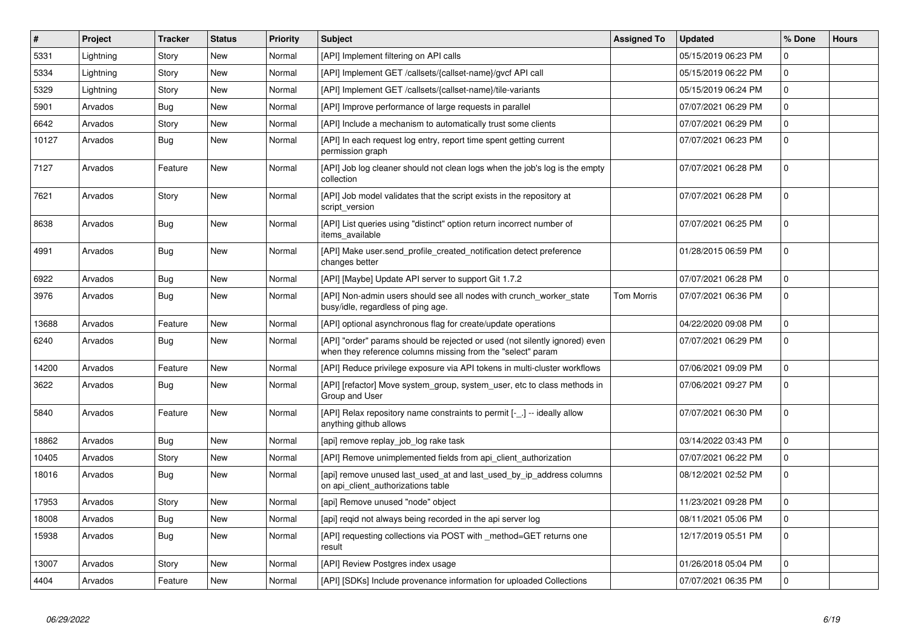| $\vert$ # | Project   | <b>Tracker</b> | <b>Status</b> | <b>Priority</b> | <b>Subject</b>                                                                                                                             | <b>Assigned To</b> | <b>Updated</b>      | % Done      | <b>Hours</b> |
|-----------|-----------|----------------|---------------|-----------------|--------------------------------------------------------------------------------------------------------------------------------------------|--------------------|---------------------|-------------|--------------|
| 5331      | Lightning | Story          | <b>New</b>    | Normal          | [API] Implement filtering on API calls                                                                                                     |                    | 05/15/2019 06:23 PM | $\Omega$    |              |
| 5334      | Lightning | Story          | <b>New</b>    | Normal          | [API] Implement GET /callsets/{callset-name}/gvcf API call                                                                                 |                    | 05/15/2019 06:22 PM | $\Omega$    |              |
| 5329      | Lightning | Story          | <b>New</b>    | Normal          | [API] Implement GET /callsets/{callset-name}/tile-variants                                                                                 |                    | 05/15/2019 06:24 PM | $\pmb{0}$   |              |
| 5901      | Arvados   | Bug            | <b>New</b>    | Normal          | [API] Improve performance of large requests in parallel                                                                                    |                    | 07/07/2021 06:29 PM | $\mathbf 0$ |              |
| 6642      | Arvados   | Story          | <b>New</b>    | Normal          | [API] Include a mechanism to automatically trust some clients                                                                              |                    | 07/07/2021 06:29 PM | $\pmb{0}$   |              |
| 10127     | Arvados   | <b>Bug</b>     | <b>New</b>    | Normal          | [API] In each request log entry, report time spent getting current<br>permission graph                                                     |                    | 07/07/2021 06:23 PM | $\mathbf 0$ |              |
| 7127      | Arvados   | Feature        | <b>New</b>    | Normal          | [API] Job log cleaner should not clean logs when the job's log is the empty<br>collection                                                  |                    | 07/07/2021 06:28 PM | $\mathbf 0$ |              |
| 7621      | Arvados   | Story          | <b>New</b>    | Normal          | [API] Job model validates that the script exists in the repository at<br>script version                                                    |                    | 07/07/2021 06:28 PM | 0           |              |
| 8638      | Arvados   | Bug            | <b>New</b>    | Normal          | [API] List queries using "distinct" option return incorrect number of<br>items available                                                   |                    | 07/07/2021 06:25 PM | 0           |              |
| 4991      | Arvados   | Bug            | New           | Normal          | [API] Make user.send_profile_created_notification detect preference<br>changes better                                                      |                    | 01/28/2015 06:59 PM | $\pmb{0}$   |              |
| 6922      | Arvados   | Bug            | <b>New</b>    | Normal          | [API] [Maybe] Update API server to support Git 1.7.2                                                                                       |                    | 07/07/2021 06:28 PM | $\pmb{0}$   |              |
| 3976      | Arvados   | Bug            | New           | Normal          | [API] Non-admin users should see all nodes with crunch_worker_state<br>busy/idle, regardless of ping age.                                  | Tom Morris         | 07/07/2021 06:36 PM | $\mathbf 0$ |              |
| 13688     | Arvados   | Feature        | <b>New</b>    | Normal          | [API] optional asynchronous flag for create/update operations                                                                              |                    | 04/22/2020 09:08 PM | $\mathbf 0$ |              |
| 6240      | Arvados   | Bug            | New           | Normal          | [API] "order" params should be rejected or used (not silently ignored) even<br>when they reference columns missing from the "select" param |                    | 07/07/2021 06:29 PM | $\mathbf 0$ |              |
| 14200     | Arvados   | Feature        | <b>New</b>    | Normal          | [API] Reduce privilege exposure via API tokens in multi-cluster workflows                                                                  |                    | 07/06/2021 09:09 PM | 0           |              |
| 3622      | Arvados   | <b>Bug</b>     | New           | Normal          | [API] [refactor] Move system_group, system_user, etc to class methods in<br>Group and User                                                 |                    | 07/06/2021 09:27 PM | $\mathbf 0$ |              |
| 5840      | Arvados   | Feature        | <b>New</b>    | Normal          | [API] Relax repository name constraints to permit [-_.] -- ideally allow<br>anything github allows                                         |                    | 07/07/2021 06:30 PM | $\mathbf 0$ |              |
| 18862     | Arvados   | Bug            | <b>New</b>    | Normal          | [api] remove replay job log rake task                                                                                                      |                    | 03/14/2022 03:43 PM | $\mathbf 0$ |              |
| 10405     | Arvados   | Story          | <b>New</b>    | Normal          | [API] Remove unimplemented fields from api_client_authorization                                                                            |                    | 07/07/2021 06:22 PM | $\mathbf 0$ |              |
| 18016     | Arvados   | Bug            | <b>New</b>    | Normal          | [api] remove unused last used at and last used by ip address columns<br>on api_client_authorizations table                                 |                    | 08/12/2021 02:52 PM | $\mathbf 0$ |              |
| 17953     | Arvados   | Story          | <b>New</b>    | Normal          | [api] Remove unused "node" object                                                                                                          |                    | 11/23/2021 09:28 PM | $\mathbf 0$ |              |
| 18008     | Arvados   | Bug            | <b>New</b>    | Normal          | [api] reqid not always being recorded in the api server log                                                                                |                    | 08/11/2021 05:06 PM | 0           |              |
| 15938     | Arvados   | <b>Bug</b>     | <b>New</b>    | Normal          | [API] requesting collections via POST with _method=GET returns one<br>result                                                               |                    | 12/17/2019 05:51 PM | $\mathbf 0$ |              |
| 13007     | Arvados   | Story          | <b>New</b>    | Normal          | [API] Review Postgres index usage                                                                                                          |                    | 01/26/2018 05:04 PM | $\mathbf 0$ |              |
| 4404      | Arvados   | Feature        | New           | Normal          | [API] [SDKs] Include provenance information for uploaded Collections                                                                       |                    | 07/07/2021 06:35 PM | $\Omega$    |              |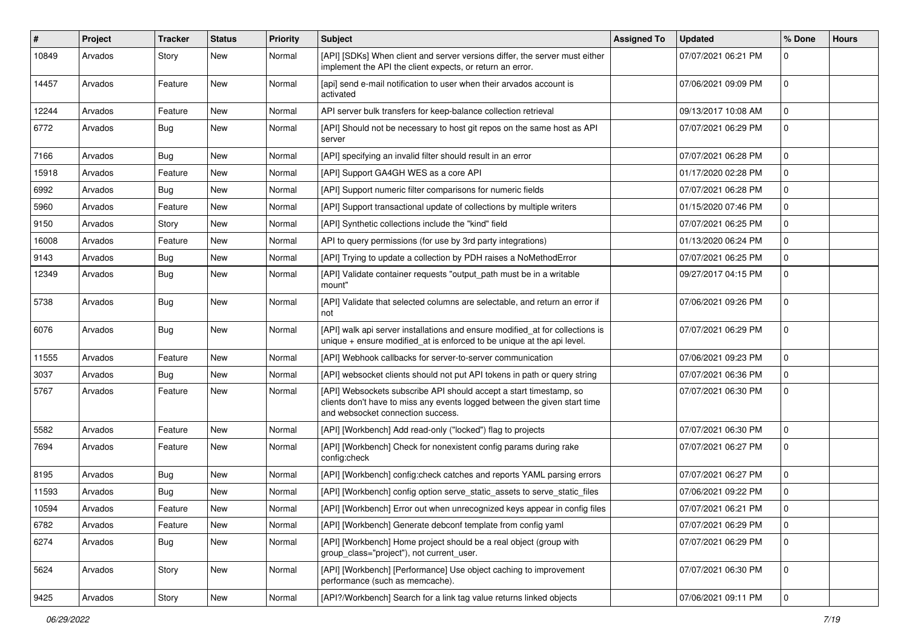| #     | Project | Tracker    | <b>Status</b> | <b>Priority</b> | Subject                                                                                                                                                                              | <b>Assigned To</b> | <b>Updated</b>      | % Done      | <b>Hours</b> |
|-------|---------|------------|---------------|-----------------|--------------------------------------------------------------------------------------------------------------------------------------------------------------------------------------|--------------------|---------------------|-------------|--------------|
| 10849 | Arvados | Story      | <b>New</b>    | Normal          | [API] [SDKs] When client and server versions differ, the server must either<br>implement the API the client expects, or return an error.                                             |                    | 07/07/2021 06:21 PM | $\Omega$    |              |
| 14457 | Arvados | Feature    | <b>New</b>    | Normal          | [api] send e-mail notification to user when their arvados account is<br>activated                                                                                                    |                    | 07/06/2021 09:09 PM | $\mathbf 0$ |              |
| 12244 | Arvados | Feature    | <b>New</b>    | Normal          | API server bulk transfers for keep-balance collection retrieval                                                                                                                      |                    | 09/13/2017 10:08 AM | $\mathbf 0$ |              |
| 6772  | Arvados | <b>Bug</b> | New           | Normal          | [API] Should not be necessary to host git repos on the same host as API<br>server                                                                                                    |                    | 07/07/2021 06:29 PM | 0           |              |
| 7166  | Arvados | Bug        | <b>New</b>    | Normal          | [API] specifying an invalid filter should result in an error                                                                                                                         |                    | 07/07/2021 06:28 PM | 0           |              |
| 15918 | Arvados | Feature    | <b>New</b>    | Normal          | [API] Support GA4GH WES as a core API                                                                                                                                                |                    | 01/17/2020 02:28 PM | $\mathbf 0$ |              |
| 6992  | Arvados | <b>Bug</b> | <b>New</b>    | Normal          | [API] Support numeric filter comparisons for numeric fields                                                                                                                          |                    | 07/07/2021 06:28 PM | 0           |              |
| 5960  | Arvados | Feature    | New           | Normal          | [API] Support transactional update of collections by multiple writers                                                                                                                |                    | 01/15/2020 07:46 PM | $\mathbf 0$ |              |
| 9150  | Arvados | Story      | <b>New</b>    | Normal          | [API] Synthetic collections include the "kind" field                                                                                                                                 |                    | 07/07/2021 06:25 PM | $\mathbf 0$ |              |
| 16008 | Arvados | Feature    | <b>New</b>    | Normal          | API to query permissions (for use by 3rd party integrations)                                                                                                                         |                    | 01/13/2020 06:24 PM | 0           |              |
| 9143  | Arvados | <b>Bug</b> | New           | Normal          | [API] Trying to update a collection by PDH raises a NoMethodError                                                                                                                    |                    | 07/07/2021 06:25 PM | $\mathbf 0$ |              |
| 12349 | Arvados | <b>Bug</b> | <b>New</b>    | Normal          | [API] Validate container requests "output_path must be in a writable<br>mount"                                                                                                       |                    | 09/27/2017 04:15 PM | $\mathbf 0$ |              |
| 5738  | Arvados | <b>Bug</b> | <b>New</b>    | Normal          | [API] Validate that selected columns are selectable, and return an error if<br>not                                                                                                   |                    | 07/06/2021 09:26 PM | $\mathbf 0$ |              |
| 6076  | Arvados | <b>Bug</b> | <b>New</b>    | Normal          | [API] walk api server installations and ensure modified_at for collections is<br>unique $+$ ensure modified_at is enforced to be unique at the api level.                            |                    | 07/07/2021 06:29 PM | $\mathbf 0$ |              |
| 11555 | Arvados | Feature    | <b>New</b>    | Normal          | [API] Webhook callbacks for server-to-server communication                                                                                                                           |                    | 07/06/2021 09:23 PM | $\mathbf 0$ |              |
| 3037  | Arvados | <b>Bug</b> | <b>New</b>    | Normal          | [API] websocket clients should not put API tokens in path or query string                                                                                                            |                    | 07/07/2021 06:36 PM | $\mathbf 0$ |              |
| 5767  | Arvados | Feature    | <b>New</b>    | Normal          | [API] Websockets subscribe API should accept a start timestamp, so<br>clients don't have to miss any events logged between the given start time<br>and websocket connection success. |                    | 07/07/2021 06:30 PM | $\pmb{0}$   |              |
| 5582  | Arvados | Feature    | New           | Normal          | [API] [Workbench] Add read-only ("locked") flag to projects                                                                                                                          |                    | 07/07/2021 06:30 PM | $\mathbf 0$ |              |
| 7694  | Arvados | Feature    | New           | Normal          | [API] [Workbench] Check for nonexistent config params during rake<br>config:check                                                                                                    |                    | 07/07/2021 06:27 PM | 0           |              |
| 8195  | Arvados | <b>Bug</b> | <b>New</b>    | Normal          | [API] [Workbench] config:check catches and reports YAML parsing errors                                                                                                               |                    | 07/07/2021 06:27 PM | 0           |              |
| 11593 | Arvados | <b>Bug</b> | <b>New</b>    | Normal          | [API] [Workbench] config option serve static assets to serve static files                                                                                                            |                    | 07/06/2021 09:22 PM | 0           |              |
| 10594 | Arvados | Feature    | <b>New</b>    | Normal          | [API] [Workbench] Error out when unrecognized keys appear in config files                                                                                                            |                    | 07/07/2021 06:21 PM | $\pmb{0}$   |              |
| 6782  | Arvados | Feature    | <b>New</b>    | Normal          | [API] [Workbench] Generate debconf template from config yaml                                                                                                                         |                    | 07/07/2021 06:29 PM | 0           |              |
| 6274  | Arvados | <b>Bug</b> | New           | Normal          | [API] [Workbench] Home project should be a real object (group with<br>group_class="project"), not current_user.                                                                      |                    | 07/07/2021 06:29 PM | $\mathbf 0$ |              |
| 5624  | Arvados | Story      | New           | Normal          | [API] [Workbench] [Performance] Use object caching to improvement<br>performance (such as memcache).                                                                                 |                    | 07/07/2021 06:30 PM | $\mathbf 0$ |              |
| 9425  | Arvados | Story      | New           | Normal          | [API?/Workbench] Search for a link tag value returns linked objects                                                                                                                  |                    | 07/06/2021 09:11 PM | $\pmb{0}$   |              |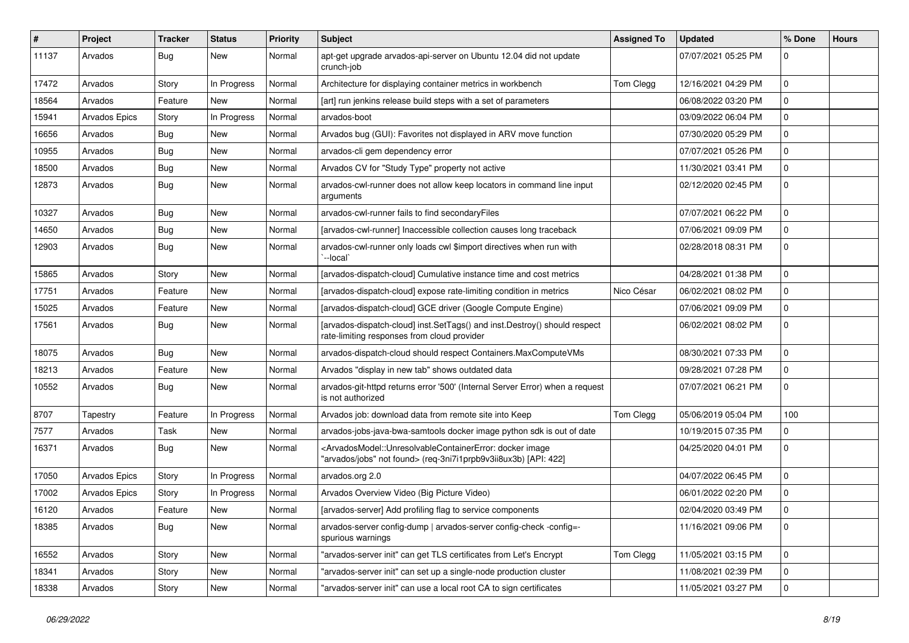| ∦     | Project              | <b>Tracker</b> | <b>Status</b> | <b>Priority</b> | <b>Subject</b>                                                                                                                                                                  | <b>Assigned To</b> | <b>Updated</b>      | % Done      | <b>Hours</b> |
|-------|----------------------|----------------|---------------|-----------------|---------------------------------------------------------------------------------------------------------------------------------------------------------------------------------|--------------------|---------------------|-------------|--------------|
| 11137 | Arvados              | <b>Bug</b>     | New           | Normal          | apt-get upgrade arvados-api-server on Ubuntu 12.04 did not update<br>crunch-job                                                                                                 |                    | 07/07/2021 05:25 PM | $\Omega$    |              |
| 17472 | Arvados              | Story          | In Progress   | Normal          | Architecture for displaying container metrics in workbench                                                                                                                      | Tom Clegg          | 12/16/2021 04:29 PM | 0           |              |
| 18564 | Arvados              | Feature        | New           | Normal          | [art] run jenkins release build steps with a set of parameters                                                                                                                  |                    | 06/08/2022 03:20 PM | $\mathbf 0$ |              |
| 15941 | Arvados Epics        | Story          | In Progress   | Normal          | arvados-boot                                                                                                                                                                    |                    | 03/09/2022 06:04 PM | 0           |              |
| 16656 | Arvados              | <b>Bug</b>     | New           | Normal          | Arvados bug (GUI): Favorites not displayed in ARV move function                                                                                                                 |                    | 07/30/2020 05:29 PM | 0           |              |
| 10955 | Arvados              | <b>Bug</b>     | New           | Normal          | arvados-cli gem dependency error                                                                                                                                                |                    | 07/07/2021 05:26 PM | $\mathbf 0$ |              |
| 18500 | Arvados              | <b>Bug</b>     | New           | Normal          | Arvados CV for "Study Type" property not active                                                                                                                                 |                    | 11/30/2021 03:41 PM | 0           |              |
| 12873 | Arvados              | <b>Bug</b>     | New           | Normal          | arvados-cwl-runner does not allow keep locators in command line input<br>arguments                                                                                              |                    | 02/12/2020 02:45 PM | $\mathbf 0$ |              |
| 10327 | Arvados              | Bug            | New           | Normal          | arvados-cwl-runner fails to find secondaryFiles                                                                                                                                 |                    | 07/07/2021 06:22 PM | $\mathbf 0$ |              |
| 14650 | Arvados              | Bug            | New           | Normal          | [arvados-cwl-runner] Inaccessible collection causes long traceback                                                                                                              |                    | 07/06/2021 09:09 PM | $\mathbf 0$ |              |
| 12903 | Arvados              | <b>Bug</b>     | New           | Normal          | arvados-cwl-runner only loads cwl \$import directives when run with<br>`--local`                                                                                                |                    | 02/28/2018 08:31 PM | 0           |              |
| 15865 | Arvados              | Story          | New           | Normal          | [arvados-dispatch-cloud] Cumulative instance time and cost metrics                                                                                                              |                    | 04/28/2021 01:38 PM | 0           |              |
| 17751 | Arvados              | Feature        | New           | Normal          | [arvados-dispatch-cloud] expose rate-limiting condition in metrics                                                                                                              | Nico César         | 06/02/2021 08:02 PM | 0           |              |
| 15025 | Arvados              | Feature        | New           | Normal          | [arvados-dispatch-cloud] GCE driver (Google Compute Engine)                                                                                                                     |                    | 07/06/2021 09:09 PM | $\mathbf 0$ |              |
| 17561 | Arvados              | <b>Bug</b>     | New           | Normal          | [arvados-dispatch-cloud] inst.SetTags() and inst.Destroy() should respect<br>rate-limiting responses from cloud provider                                                        |                    | 06/02/2021 08:02 PM | 0           |              |
| 18075 | Arvados              | <b>Bug</b>     | New           | Normal          | arvados-dispatch-cloud should respect Containers.MaxComputeVMs                                                                                                                  |                    | 08/30/2021 07:33 PM | 0           |              |
| 18213 | Arvados              | Feature        | <b>New</b>    | Normal          | Arvados "display in new tab" shows outdated data                                                                                                                                |                    | 09/28/2021 07:28 PM | 0           |              |
| 10552 | Arvados              | <b>Bug</b>     | New           | Normal          | arvados-git-httpd returns error '500' (Internal Server Error) when a request<br>is not authorized                                                                               |                    | 07/07/2021 06:21 PM | $\mathbf 0$ |              |
| 8707  | Tapestry             | Feature        | In Progress   | Normal          | Arvados job: download data from remote site into Keep                                                                                                                           | Tom Clegg          | 05/06/2019 05:04 PM | 100         |              |
| 7577  | Arvados              | Task           | New           | Normal          | arvados-jobs-java-bwa-samtools docker image python sdk is out of date                                                                                                           |                    | 10/19/2015 07:35 PM | $\mathbf 0$ |              |
| 16371 | Arvados              | <b>Bug</b>     | New           | Normal          | <arvadosmodel::unresolvablecontainererror: docker="" image<br="">"arvados/jobs" not found&gt; (req-3ni7i1prpb9v3ii8ux3b) [API: 422]</arvadosmodel::unresolvablecontainererror:> |                    | 04/25/2020 04:01 PM | $\mathbf 0$ |              |
| 17050 | <b>Arvados Epics</b> | Story          | In Progress   | Normal          | arvados.org 2.0                                                                                                                                                                 |                    | 04/07/2022 06:45 PM | 0           |              |
| 17002 | Arvados Epics        | Story          | In Progress   | Normal          | Arvados Overview Video (Big Picture Video)                                                                                                                                      |                    | 06/01/2022 02:20 PM | 0           |              |
| 16120 | Arvados              | Feature        | New           | Normal          | [arvados-server] Add profiling flag to service components                                                                                                                       |                    | 02/04/2020 03:49 PM | $\Omega$    |              |
| 18385 | Arvados              | <b>Bug</b>     | New           | Normal          | arvados-server config-dump   arvados-server config-check -config=-<br>spurious warnings                                                                                         |                    | 11/16/2021 09:06 PM | $\mathbf 0$ |              |
| 16552 | Arvados              | Story          | New           | Normal          | "arvados-server init" can get TLS certificates from Let's Encrypt                                                                                                               | Tom Clegg          | 11/05/2021 03:15 PM | $\mathbf 0$ |              |
| 18341 | Arvados              | Story          | New           | Normal          | "arvados-server init" can set up a single-node production cluster                                                                                                               |                    | 11/08/2021 02:39 PM | $\mathbf 0$ |              |
| 18338 | Arvados              | Story          | New           | Normal          | "arvados-server init" can use a local root CA to sign certificates                                                                                                              |                    | 11/05/2021 03:27 PM | $\mathbf 0$ |              |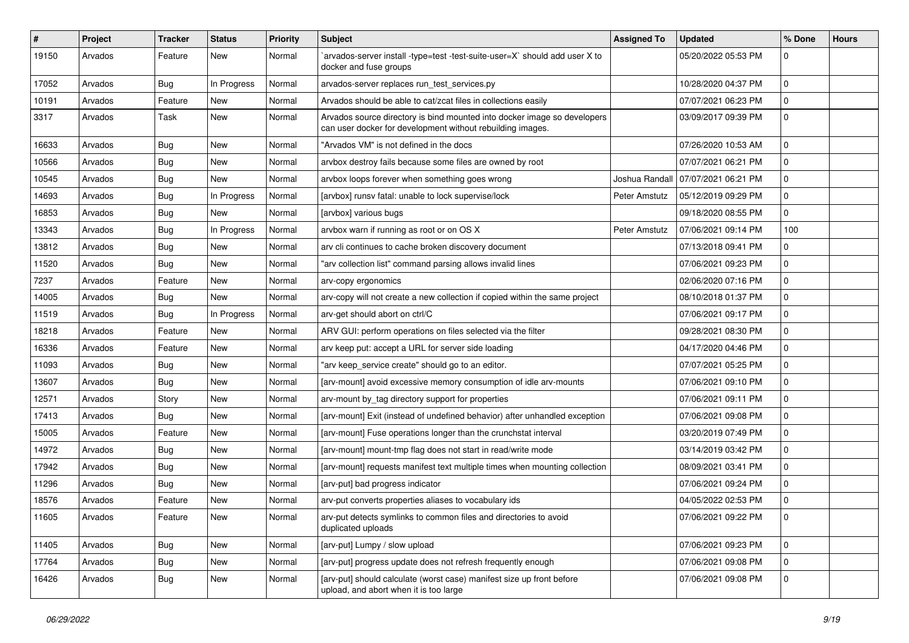| #     | Project | <b>Tracker</b> | <b>Status</b> | <b>Priority</b> | Subject                                                                                                                                | <b>Assigned To</b> | <b>Updated</b>                       | % Done      | <b>Hours</b> |
|-------|---------|----------------|---------------|-----------------|----------------------------------------------------------------------------------------------------------------------------------------|--------------------|--------------------------------------|-------------|--------------|
| 19150 | Arvados | Feature        | New           | Normal          | `arvados-server install -type=test -test-suite-user=X` should add user X to<br>docker and fuse groups                                  |                    | 05/20/2022 05:53 PM                  | $\Omega$    |              |
| 17052 | Arvados | <b>Bug</b>     | In Progress   | Normal          | arvados-server replaces run test services.py                                                                                           |                    | 10/28/2020 04:37 PM                  | 0           |              |
| 10191 | Arvados | Feature        | New           | Normal          | Arvados should be able to cat/zcat files in collections easily                                                                         |                    | 07/07/2021 06:23 PM                  | $\mathbf 0$ |              |
| 3317  | Arvados | Task           | New           | Normal          | Arvados source directory is bind mounted into docker image so developers<br>can user docker for development without rebuilding images. |                    | 03/09/2017 09:39 PM                  | $\mathbf 0$ |              |
| 16633 | Arvados | <b>Bug</b>     | New           | Normal          | "Arvados VM" is not defined in the docs                                                                                                |                    | 07/26/2020 10:53 AM                  | $\mathbf 0$ |              |
| 10566 | Arvados | <b>Bug</b>     | New           | Normal          | arvbox destroy fails because some files are owned by root                                                                              |                    | 07/07/2021 06:21 PM                  | $\pmb{0}$   |              |
| 10545 | Arvados | <b>Bug</b>     | New           | Normal          | arvbox loops forever when something goes wrong                                                                                         |                    | Joshua Randall   07/07/2021 06:21 PM | 0           |              |
| 14693 | Arvados | Bug            | In Progress   | Normal          | [arvbox] runsv fatal: unable to lock supervise/lock                                                                                    | Peter Amstutz      | 05/12/2019 09:29 PM                  | $\mathbf 0$ |              |
| 16853 | Arvados | <b>Bug</b>     | New           | Normal          | [arvbox] various bugs                                                                                                                  |                    | 09/18/2020 08:55 PM                  | 0           |              |
| 13343 | Arvados | <b>Bug</b>     | In Progress   | Normal          | arvbox warn if running as root or on OS X                                                                                              | Peter Amstutz      | 07/06/2021 09:14 PM                  | 100         |              |
| 13812 | Arvados | <b>Bug</b>     | New           | Normal          | arv cli continues to cache broken discovery document                                                                                   |                    | 07/13/2018 09:41 PM                  | 0           |              |
| 11520 | Arvados | <b>Bug</b>     | New           | Normal          | "arv collection list" command parsing allows invalid lines                                                                             |                    | 07/06/2021 09:23 PM                  | 0           |              |
| 7237  | Arvados | Feature        | New           | Normal          | arv-copy ergonomics                                                                                                                    |                    | 02/06/2020 07:16 PM                  | $\mathbf 0$ |              |
| 14005 | Arvados | <b>Bug</b>     | New           | Normal          | arv-copy will not create a new collection if copied within the same project                                                            |                    | 08/10/2018 01:37 PM                  | 0           |              |
| 11519 | Arvados | <b>Bug</b>     | In Progress   | Normal          | arv-get should abort on ctrl/C                                                                                                         |                    | 07/06/2021 09:17 PM                  | $\mathbf 0$ |              |
| 18218 | Arvados | Feature        | New           | Normal          | ARV GUI: perform operations on files selected via the filter                                                                           |                    | 09/28/2021 08:30 PM                  | 0           |              |
| 16336 | Arvados | Feature        | New           | Normal          | arv keep put: accept a URL for server side loading                                                                                     |                    | 04/17/2020 04:46 PM                  | 0           |              |
| 11093 | Arvados | Bug            | New           | Normal          | "arv keep_service create" should go to an editor.                                                                                      |                    | 07/07/2021 05:25 PM                  | $\pmb{0}$   |              |
| 13607 | Arvados | <b>Bug</b>     | New           | Normal          | [arv-mount] avoid excessive memory consumption of idle arv-mounts                                                                      |                    | 07/06/2021 09:10 PM                  | 0           |              |
| 12571 | Arvados | Story          | New           | Normal          | arv-mount by tag directory support for properties                                                                                      |                    | 07/06/2021 09:11 PM                  | $\mathbf 0$ |              |
| 17413 | Arvados | Bug            | New           | Normal          | [arv-mount] Exit (instead of undefined behavior) after unhandled exception                                                             |                    | 07/06/2021 09:08 PM                  | $\mathbf 0$ |              |
| 15005 | Arvados | Feature        | New           | Normal          | [arv-mount] Fuse operations longer than the crunchstat interval                                                                        |                    | 03/20/2019 07:49 PM                  | 0           |              |
| 14972 | Arvados | Bug            | New           | Normal          | [arv-mount] mount-tmp flag does not start in read/write mode                                                                           |                    | 03/14/2019 03:42 PM                  | $\mathbf 0$ |              |
| 17942 | Arvados | Bug            | New           | Normal          | [arv-mount] requests manifest text multiple times when mounting collection                                                             |                    | 08/09/2021 03:41 PM                  | 0           |              |
| 11296 | Arvados | Bug            | New           | Normal          | [arv-put] bad progress indicator                                                                                                       |                    | 07/06/2021 09:24 PM                  | 0           |              |
| 18576 | Arvados | Feature        | New           | Normal          | arv-put converts properties aliases to vocabulary ids                                                                                  |                    | 04/05/2022 02:53 PM                  | $\mathbf 0$ |              |
| 11605 | Arvados | Feature        | New           | Normal          | arv-put detects symlinks to common files and directories to avoid<br>duplicated uploads                                                |                    | 07/06/2021 09:22 PM                  | 10          |              |
| 11405 | Arvados | <b>Bug</b>     | New           | Normal          | [arv-put] Lumpy / slow upload                                                                                                          |                    | 07/06/2021 09:23 PM                  | $\mathsf 0$ |              |
| 17764 | Arvados | <b>Bug</b>     | New           | Normal          | [arv-put] progress update does not refresh frequently enough                                                                           |                    | 07/06/2021 09:08 PM                  | $\mathbf 0$ |              |
| 16426 | Arvados | <b>Bug</b>     | New           | Normal          | [arv-put] should calculate (worst case) manifest size up front before<br>upload, and abort when it is too large                        |                    | 07/06/2021 09:08 PM                  | $\pmb{0}$   |              |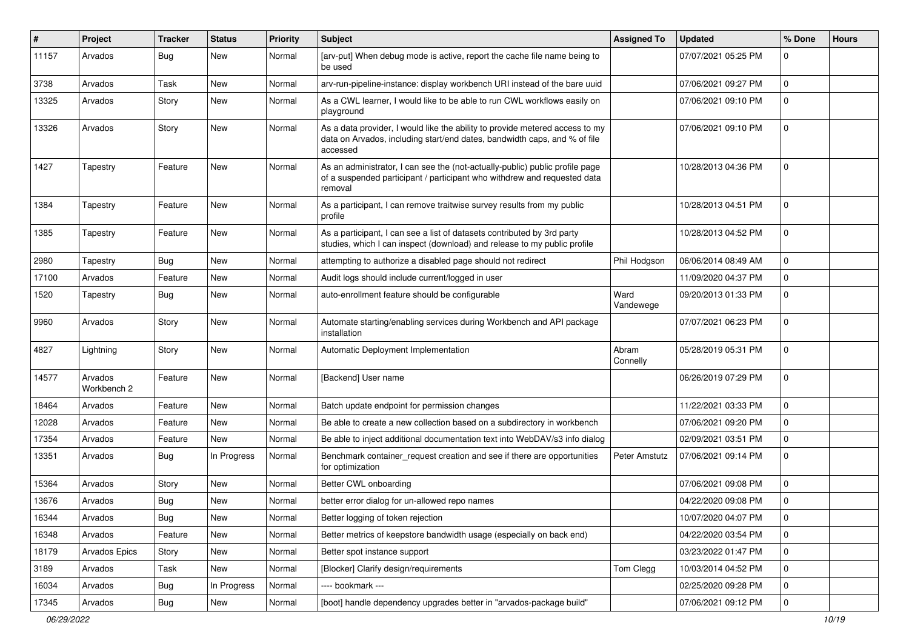| ∦     | Project                | <b>Tracker</b> | <b>Status</b> | <b>Priority</b> | <b>Subject</b>                                                                                                                                                        | <b>Assigned To</b>   | <b>Updated</b>      | % Done      | <b>Hours</b> |
|-------|------------------------|----------------|---------------|-----------------|-----------------------------------------------------------------------------------------------------------------------------------------------------------------------|----------------------|---------------------|-------------|--------------|
| 11157 | Arvados                | Bug            | New           | Normal          | [arv-put] When debug mode is active, report the cache file name being to<br>be used                                                                                   |                      | 07/07/2021 05:25 PM | $\Omega$    |              |
| 3738  | Arvados                | Task           | <b>New</b>    | Normal          | arv-run-pipeline-instance: display workbench URI instead of the bare uuid                                                                                             |                      | 07/06/2021 09:27 PM | $\mathbf 0$ |              |
| 13325 | Arvados                | Story          | New           | Normal          | As a CWL learner, I would like to be able to run CWL workflows easily on<br>playground                                                                                |                      | 07/06/2021 09:10 PM | $\Omega$    |              |
| 13326 | Arvados                | Story          | New           | Normal          | As a data provider, I would like the ability to provide metered access to my<br>data on Arvados, including start/end dates, bandwidth caps, and % of file<br>accessed |                      | 07/06/2021 09:10 PM | $\Omega$    |              |
| 1427  | Tapestry               | Feature        | New           | Normal          | As an administrator, I can see the (not-actually-public) public profile page<br>of a suspended participant / participant who withdrew and requested data<br>removal   |                      | 10/28/2013 04:36 PM | $\Omega$    |              |
| 1384  | Tapestry               | Feature        | New           | Normal          | As a participant, I can remove traitwise survey results from my public<br>profile                                                                                     |                      | 10/28/2013 04:51 PM | $\Omega$    |              |
| 1385  | Tapestry               | Feature        | New           | Normal          | As a participant, I can see a list of datasets contributed by 3rd party<br>studies, which I can inspect (download) and release to my public profile                   |                      | 10/28/2013 04:52 PM | $\mathbf 0$ |              |
| 2980  | Tapestry               | Bug            | <b>New</b>    | Normal          | attempting to authorize a disabled page should not redirect                                                                                                           | Phil Hodgson         | 06/06/2014 08:49 AM | $\Omega$    |              |
| 17100 | Arvados                | Feature        | New           | Normal          | Audit logs should include current/logged in user                                                                                                                      |                      | 11/09/2020 04:37 PM | $\mathbf 0$ |              |
| 1520  | Tapestry               | <b>Bug</b>     | New           | Normal          | auto-enrollment feature should be configurable                                                                                                                        | Ward<br>Vandewege    | 09/20/2013 01:33 PM | $\Omega$    |              |
| 9960  | Arvados                | Story          | New           | Normal          | Automate starting/enabling services during Workbench and API package<br>installation                                                                                  |                      | 07/07/2021 06:23 PM | $\Omega$    |              |
| 4827  | Lightning              | Story          | New           | Normal          | Automatic Deployment Implementation                                                                                                                                   | Abram<br>Connelly    | 05/28/2019 05:31 PM | $\mathbf 0$ |              |
| 14577 | Arvados<br>Workbench 2 | Feature        | <b>New</b>    | Normal          | [Backend] User name                                                                                                                                                   |                      | 06/26/2019 07:29 PM | $\Omega$    |              |
| 18464 | Arvados                | Feature        | New           | Normal          | Batch update endpoint for permission changes                                                                                                                          |                      | 11/22/2021 03:33 PM | $\mathbf 0$ |              |
| 12028 | Arvados                | Feature        | <b>New</b>    | Normal          | Be able to create a new collection based on a subdirectory in workbench                                                                                               |                      | 07/06/2021 09:20 PM | $\mathbf 0$ |              |
| 17354 | Arvados                | Feature        | New           | Normal          | Be able to inject additional documentation text into WebDAV/s3 info dialog                                                                                            |                      | 02/09/2021 03:51 PM | $\mathbf 0$ |              |
| 13351 | Arvados                | <b>Bug</b>     | In Progress   | Normal          | Benchmark container_request creation and see if there are opportunities<br>for optimization                                                                           | <b>Peter Amstutz</b> | 07/06/2021 09:14 PM | 0           |              |
| 15364 | Arvados                | Story          | New           | Normal          | Better CWL onboarding                                                                                                                                                 |                      | 07/06/2021 09:08 PM | $\mathbf 0$ |              |
| 13676 | Arvados                | <b>Bug</b>     | <b>New</b>    | Normal          | better error dialog for un-allowed repo names                                                                                                                         |                      | 04/22/2020 09:08 PM | $\mathbf 0$ |              |
| 16344 | Arvados                | <b>Bug</b>     | New           | Normal          | Better logging of token rejection                                                                                                                                     |                      | 10/07/2020 04:07 PM | $\mathbf 0$ |              |
| 16348 | Arvados                | Feature        | New           | Normal          | Better metrics of keepstore bandwidth usage (especially on back end)                                                                                                  |                      | 04/22/2020 03:54 PM | $\mathbf 0$ |              |
| 18179 | Arvados Epics          | Story          | New           | Normal          | Better spot instance support                                                                                                                                          |                      | 03/23/2022 01:47 PM | 0           |              |
| 3189  | Arvados                | Task           | New           | Normal          | [Blocker] Clarify design/requirements                                                                                                                                 | Tom Clegg            | 10/03/2014 04:52 PM | 0           |              |
| 16034 | Arvados                | <b>Bug</b>     | In Progress   | Normal          | ---- bookmark ---                                                                                                                                                     |                      | 02/25/2020 09:28 PM | $\pmb{0}$   |              |
| 17345 | Arvados                | <b>Bug</b>     | New           | Normal          | [boot] handle dependency upgrades better in "arvados-package build"                                                                                                   |                      | 07/06/2021 09:12 PM | 0           |              |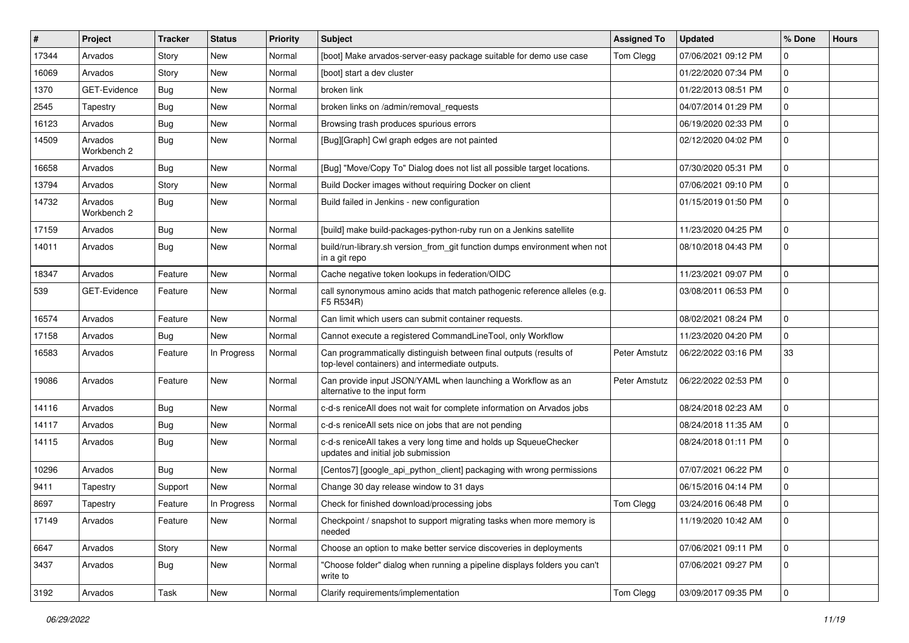| $\#$  | Project                | <b>Tracker</b> | <b>Status</b> | <b>Priority</b> | <b>Subject</b>                                                                                                        | <b>Assigned To</b> | <b>Updated</b>      | % Done      | <b>Hours</b> |
|-------|------------------------|----------------|---------------|-----------------|-----------------------------------------------------------------------------------------------------------------------|--------------------|---------------------|-------------|--------------|
| 17344 | Arvados                | Story          | New           | Normal          | [boot] Make arvados-server-easy package suitable for demo use case                                                    | Tom Clegg          | 07/06/2021 09:12 PM | 0           |              |
| 16069 | Arvados                | Story          | New           | Normal          | [boot] start a dev cluster                                                                                            |                    | 01/22/2020 07:34 PM | $\mathbf 0$ |              |
| 1370  | GET-Evidence           | <b>Bug</b>     | New           | Normal          | broken link                                                                                                           |                    | 01/22/2013 08:51 PM | $\mathbf 0$ |              |
| 2545  | Tapestry               | <b>Bug</b>     | New           | Normal          | broken links on /admin/removal_requests                                                                               |                    | 04/07/2014 01:29 PM | $\mathbf 0$ |              |
| 16123 | Arvados                | Bug            | New           | Normal          | Browsing trash produces spurious errors                                                                               |                    | 06/19/2020 02:33 PM | $\mathbf 0$ |              |
| 14509 | Arvados<br>Workbench 2 | Bug            | New           | Normal          | [Bug][Graph] Cwl graph edges are not painted                                                                          |                    | 02/12/2020 04:02 PM | $\mathbf 0$ |              |
| 16658 | Arvados                | Bug            | New           | Normal          | [Bug] "Move/Copy To" Dialog does not list all possible target locations.                                              |                    | 07/30/2020 05:31 PM | $\mathbf 0$ |              |
| 13794 | Arvados                | Story          | New           | Normal          | Build Docker images without requiring Docker on client                                                                |                    | 07/06/2021 09:10 PM | $\mathbf 0$ |              |
| 14732 | Arvados<br>Workbench 2 | <b>Bug</b>     | New           | Normal          | Build failed in Jenkins - new configuration                                                                           |                    | 01/15/2019 01:50 PM | $\mathbf 0$ |              |
| 17159 | Arvados                | <b>Bug</b>     | New           | Normal          | [build] make build-packages-python-ruby run on a Jenkins satellite                                                    |                    | 11/23/2020 04:25 PM | $\mathbf 0$ |              |
| 14011 | Arvados                | Bug            | New           | Normal          | build/run-library.sh version_from_git function dumps environment when not<br>in a git repo                            |                    | 08/10/2018 04:43 PM | $\mathbf 0$ |              |
| 18347 | Arvados                | Feature        | New           | Normal          | Cache negative token lookups in federation/OIDC                                                                       |                    | 11/23/2021 09:07 PM | $\mathbf 0$ |              |
| 539   | GET-Evidence           | Feature        | New           | Normal          | call synonymous amino acids that match pathogenic reference alleles (e.g.<br>F5 R534R)                                |                    | 03/08/2011 06:53 PM | $\mathbf 0$ |              |
| 16574 | Arvados                | Feature        | New           | Normal          | Can limit which users can submit container requests.                                                                  |                    | 08/02/2021 08:24 PM | $\mathbf 0$ |              |
| 17158 | Arvados                | <b>Bug</b>     | New           | Normal          | Cannot execute a registered CommandLineTool, only Workflow                                                            |                    | 11/23/2020 04:20 PM | $\mathbf 0$ |              |
| 16583 | Arvados                | Feature        | In Progress   | Normal          | Can programmatically distinguish between final outputs (results of<br>top-level containers) and intermediate outputs. | Peter Amstutz      | 06/22/2022 03:16 PM | 33          |              |
| 19086 | Arvados                | Feature        | New           | Normal          | Can provide input JSON/YAML when launching a Workflow as an<br>alternative to the input form                          | Peter Amstutz      | 06/22/2022 02:53 PM | $\mathbf 0$ |              |
| 14116 | Arvados                | <b>Bug</b>     | New           | Normal          | c-d-s reniceAll does not wait for complete information on Arvados jobs                                                |                    | 08/24/2018 02:23 AM | $\mathbf 0$ |              |
| 14117 | Arvados                | <b>Bug</b>     | New           | Normal          | c-d-s reniceAll sets nice on jobs that are not pending                                                                |                    | 08/24/2018 11:35 AM | $\mathbf 0$ |              |
| 14115 | Arvados                | Bug            | New           | Normal          | c-d-s reniceAll takes a very long time and holds up SqueueChecker<br>updates and initial job submission               |                    | 08/24/2018 01:11 PM | $\mathbf 0$ |              |
| 10296 | Arvados                | Bug            | New           | Normal          | [Centos7] [google_api_python_client] packaging with wrong permissions                                                 |                    | 07/07/2021 06:22 PM | $\mathbf 0$ |              |
| 9411  | Tapestry               | Support        | New           | Normal          | Change 30 day release window to 31 days                                                                               |                    | 06/15/2016 04:14 PM | $\mathbf 0$ |              |
| 8697  | Tapestry               | Feature        | In Progress   | Normal          | Check for finished download/processing jobs                                                                           | Tom Clegg          | 03/24/2016 06:48 PM | $\mathbf 0$ |              |
| 17149 | Arvados                | Feature        | New           | Normal          | Checkpoint / snapshot to support migrating tasks when more memory is<br>needed                                        |                    | 11/19/2020 10:42 AM | l 0         |              |
| 6647  | Arvados                | Story          | New           | Normal          | Choose an option to make better service discoveries in deployments                                                    |                    | 07/06/2021 09:11 PM | $\mathbf 0$ |              |
| 3437  | Arvados                | Bug            | New           | Normal          | "Choose folder" dialog when running a pipeline displays folders you can't<br>write to                                 |                    | 07/06/2021 09:27 PM | $\mathbf 0$ |              |
| 3192  | Arvados                | Task           | New           | Normal          | Clarify requirements/implementation                                                                                   | Tom Clegg          | 03/09/2017 09:35 PM | $\mathbf 0$ |              |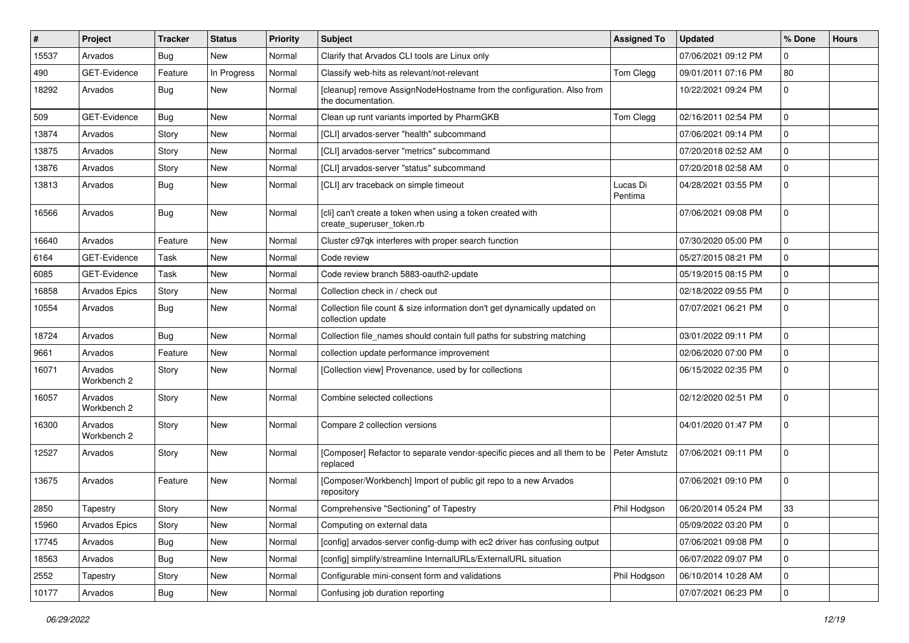| $\vert$ # | Project                | <b>Tracker</b> | <b>Status</b> | <b>Priority</b> | <b>Subject</b>                                                                                 | <b>Assigned To</b>  | <b>Updated</b>      | % Done      | <b>Hours</b> |
|-----------|------------------------|----------------|---------------|-----------------|------------------------------------------------------------------------------------------------|---------------------|---------------------|-------------|--------------|
| 15537     | Arvados                | Bug            | <b>New</b>    | Normal          | Clarify that Arvados CLI tools are Linux only                                                  |                     | 07/06/2021 09:12 PM | $\Omega$    |              |
| 490       | GET-Evidence           | Feature        | In Progress   | Normal          | Classify web-hits as relevant/not-relevant                                                     | Tom Clegg           | 09/01/2011 07:16 PM | 80          |              |
| 18292     | Arvados                | <b>Bug</b>     | New           | Normal          | [cleanup] remove AssignNodeHostname from the configuration. Also from<br>the documentation.    |                     | 10/22/2021 09:24 PM | $\mathbf 0$ |              |
| 509       | GET-Evidence           | Bug            | New           | Normal          | Clean up runt variants imported by PharmGKB                                                    | Tom Clegg           | 02/16/2011 02:54 PM | $\mathbf 0$ |              |
| 13874     | Arvados                | Story          | New           | Normal          | [CLI] arvados-server "health" subcommand                                                       |                     | 07/06/2021 09:14 PM | $\mathbf 0$ |              |
| 13875     | Arvados                | Story          | New           | Normal          | [CLI] arvados-server "metrics" subcommand                                                      |                     | 07/20/2018 02:52 AM | $\mathbf 0$ |              |
| 13876     | Arvados                | Story          | <b>New</b>    | Normal          | [CLI] arvados-server "status" subcommand                                                       |                     | 07/20/2018 02:58 AM | $\mathbf 0$ |              |
| 13813     | Arvados                | <b>Bug</b>     | New           | Normal          | [CLI] arv traceback on simple timeout                                                          | Lucas Di<br>Pentima | 04/28/2021 03:55 PM | $\mathbf 0$ |              |
| 16566     | Arvados                | <b>Bug</b>     | New           | Normal          | [cli] can't create a token when using a token created with<br>create superuser token.rb        |                     | 07/06/2021 09:08 PM | $\mathbf 0$ |              |
| 16640     | Arvados                | Feature        | <b>New</b>    | Normal          | Cluster c97qk interferes with proper search function                                           |                     | 07/30/2020 05:00 PM | $\mathbf 0$ |              |
| 6164      | <b>GET-Evidence</b>    | Task           | <b>New</b>    | Normal          | Code review                                                                                    |                     | 05/27/2015 08:21 PM | $\mathbf 0$ |              |
| 6085      | GET-Evidence           | Task           | <b>New</b>    | Normal          | Code review branch 5883-oauth2-update                                                          |                     | 05/19/2015 08:15 PM | $\mathbf 0$ |              |
| 16858     | Arvados Epics          | Story          | <b>New</b>    | Normal          | Collection check in / check out                                                                |                     | 02/18/2022 09:55 PM | $\mathbf 0$ |              |
| 10554     | Arvados                | <b>Bug</b>     | New           | Normal          | Collection file count & size information don't get dynamically updated on<br>collection update |                     | 07/07/2021 06:21 PM | $\Omega$    |              |
| 18724     | Arvados                | Bug            | New           | Normal          | Collection file_names should contain full paths for substring matching                         |                     | 03/01/2022 09:11 PM | $\mathbf 0$ |              |
| 9661      | Arvados                | Feature        | New           | Normal          | collection update performance improvement                                                      |                     | 02/06/2020 07:00 PM | $\mathbf 0$ |              |
| 16071     | Arvados<br>Workbench 2 | Story          | <b>New</b>    | Normal          | [Collection view] Provenance, used by for collections                                          |                     | 06/15/2022 02:35 PM | $\mathbf 0$ |              |
| 16057     | Arvados<br>Workbench 2 | Story          | <b>New</b>    | Normal          | Combine selected collections                                                                   |                     | 02/12/2020 02:51 PM | $\Omega$    |              |
| 16300     | Arvados<br>Workbench 2 | Story          | <b>New</b>    | Normal          | Compare 2 collection versions                                                                  |                     | 04/01/2020 01:47 PM | $\Omega$    |              |
| 12527     | Arvados                | Story          | <b>New</b>    | Normal          | [Composer] Refactor to separate vendor-specific pieces and all them to be<br>replaced          | Peter Amstutz       | 07/06/2021 09:11 PM | $\mathbf 0$ |              |
| 13675     | Arvados                | Feature        | <b>New</b>    | Normal          | [Composer/Workbench] Import of public git repo to a new Arvados<br>repository                  |                     | 07/06/2021 09:10 PM | $\mathbf 0$ |              |
| 2850      | Tapestry               | Story          | New           | Normal          | Comprehensive "Sectioning" of Tapestry                                                         | Phil Hodgson        | 06/20/2014 05:24 PM | 33          |              |
| 15960     | Arvados Epics          | Story          | New           | Normal          | Computing on external data                                                                     |                     | 05/09/2022 03:20 PM | $\pmb{0}$   |              |
| 17745     | Arvados                | <b>Bug</b>     | New           | Normal          | [config] arvados-server config-dump with ec2 driver has confusing output                       |                     | 07/06/2021 09:08 PM | $\mathbf 0$ |              |
| 18563     | Arvados                | <b>Bug</b>     | <b>New</b>    | Normal          | [config] simplify/streamline InternalURLs/ExternalURL situation                                |                     | 06/07/2022 09:07 PM | $\pmb{0}$   |              |
| 2552      | Tapestry               | Story          | New           | Normal          | Configurable mini-consent form and validations                                                 | Phil Hodgson        | 06/10/2014 10:28 AM | $\mathbf 0$ |              |
| 10177     | Arvados                | Bug            | New           | Normal          | Confusing job duration reporting                                                               |                     | 07/07/2021 06:23 PM | $\mathbf 0$ |              |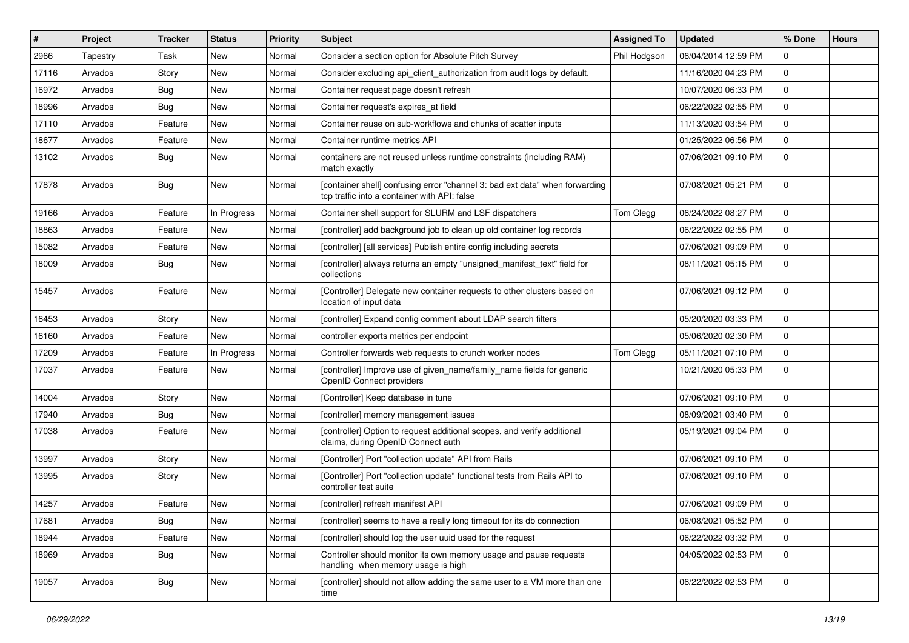| $\#$  | Project  | <b>Tracker</b> | <b>Status</b> | <b>Priority</b> | Subject                                                                                                                     | <b>Assigned To</b> | <b>Updated</b>      | % Done      | <b>Hours</b> |
|-------|----------|----------------|---------------|-----------------|-----------------------------------------------------------------------------------------------------------------------------|--------------------|---------------------|-------------|--------------|
| 2966  | Tapestry | Task           | New           | Normal          | Consider a section option for Absolute Pitch Survey                                                                         | Phil Hodgson       | 06/04/2014 12:59 PM | $\Omega$    |              |
| 17116 | Arvados  | Story          | <b>New</b>    | Normal          | Consider excluding api_client_authorization from audit logs by default.                                                     |                    | 11/16/2020 04:23 PM | $\Omega$    |              |
| 16972 | Arvados  | <b>Bug</b>     | New           | Normal          | Container request page doesn't refresh                                                                                      |                    | 10/07/2020 06:33 PM | $\Omega$    |              |
| 18996 | Arvados  | <b>Bug</b>     | New           | Normal          | Container request's expires_at field                                                                                        |                    | 06/22/2022 02:55 PM | $\mathbf 0$ |              |
| 17110 | Arvados  | Feature        | <b>New</b>    | Normal          | Container reuse on sub-workflows and chunks of scatter inputs                                                               |                    | 11/13/2020 03:54 PM | $\mathbf 0$ |              |
| 18677 | Arvados  | Feature        | New           | Normal          | Container runtime metrics API                                                                                               |                    | 01/25/2022 06:56 PM | $\Omega$    |              |
| 13102 | Arvados  | <b>Bug</b>     | New           | Normal          | containers are not reused unless runtime constraints (including RAM)<br>match exactly                                       |                    | 07/06/2021 09:10 PM | $\Omega$    |              |
| 17878 | Arvados  | <b>Bug</b>     | New           | Normal          | [container shell] confusing error "channel 3: bad ext data" when forwarding<br>tcp traffic into a container with API: false |                    | 07/08/2021 05:21 PM | $\Omega$    |              |
| 19166 | Arvados  | Feature        | In Progress   | Normal          | Container shell support for SLURM and LSF dispatchers                                                                       | Tom Clegg          | 06/24/2022 08:27 PM | $\mathbf 0$ |              |
| 18863 | Arvados  | Feature        | New           | Normal          | [controller] add background job to clean up old container log records                                                       |                    | 06/22/2022 02:55 PM | $\Omega$    |              |
| 15082 | Arvados  | Feature        | New           | Normal          | [controller] [all services] Publish entire config including secrets                                                         |                    | 07/06/2021 09:09 PM | $\mathbf 0$ |              |
| 18009 | Arvados  | <b>Bug</b>     | New           | Normal          | [controller] always returns an empty "unsigned_manifest_text" field for<br>collections                                      |                    | 08/11/2021 05:15 PM | $\mathbf 0$ |              |
| 15457 | Arvados  | Feature        | <b>New</b>    | Normal          | [Controller] Delegate new container requests to other clusters based on<br>location of input data                           |                    | 07/06/2021 09:12 PM | $\mathbf 0$ |              |
| 16453 | Arvados  | Story          | New           | Normal          | [controller] Expand config comment about LDAP search filters                                                                |                    | 05/20/2020 03:33 PM | $\Omega$    |              |
| 16160 | Arvados  | Feature        | New           | Normal          | controller exports metrics per endpoint                                                                                     |                    | 05/06/2020 02:30 PM | 0           |              |
| 17209 | Arvados  | Feature        | In Progress   | Normal          | Controller forwards web requests to crunch worker nodes                                                                     | Tom Clegg          | 05/11/2021 07:10 PM | $\mathbf 0$ |              |
| 17037 | Arvados  | Feature        | New           | Normal          | [controller] Improve use of given_name/family_name fields for generic<br>OpenID Connect providers                           |                    | 10/21/2020 05:33 PM | $\Omega$    |              |
| 14004 | Arvados  | Story          | New           | Normal          | [Controller] Keep database in tune                                                                                          |                    | 07/06/2021 09:10 PM | $\Omega$    |              |
| 17940 | Arvados  | <b>Bug</b>     | New           | Normal          | [controller] memory management issues                                                                                       |                    | 08/09/2021 03:40 PM | 0           |              |
| 17038 | Arvados  | Feature        | New           | Normal          | [controller] Option to request additional scopes, and verify additional<br>claims, during OpenID Connect auth               |                    | 05/19/2021 09:04 PM | $\mathbf 0$ |              |
| 13997 | Arvados  | Story          | New           | Normal          | [Controller] Port "collection update" API from Rails                                                                        |                    | 07/06/2021 09:10 PM | 0           |              |
| 13995 | Arvados  | Story          | New           | Normal          | [Controller] Port "collection update" functional tests from Rails API to<br>controller test suite                           |                    | 07/06/2021 09:10 PM | $\Omega$    |              |
| 14257 | Arvados  | Feature        | New           | Normal          | [controller] refresh manifest API                                                                                           |                    | 07/06/2021 09:09 PM | $\Omega$    |              |
| 17681 | Arvados  | <b>Bug</b>     | New           | Normal          | [controller] seems to have a really long timeout for its db connection                                                      |                    | 06/08/2021 05:52 PM | $\mathbf 0$ |              |
| 18944 | Arvados  | Feature        | New           | Normal          | [controller] should log the user uuid used for the request                                                                  |                    | 06/22/2022 03:32 PM | $\mathbf 0$ |              |
| 18969 | Arvados  | <b>Bug</b>     | New           | Normal          | Controller should monitor its own memory usage and pause requests<br>handling when memory usage is high                     |                    | 04/05/2022 02:53 PM | 0           |              |
| 19057 | Arvados  | <b>Bug</b>     | New           | Normal          | [controller] should not allow adding the same user to a VM more than one<br>time                                            |                    | 06/22/2022 02:53 PM | 0           |              |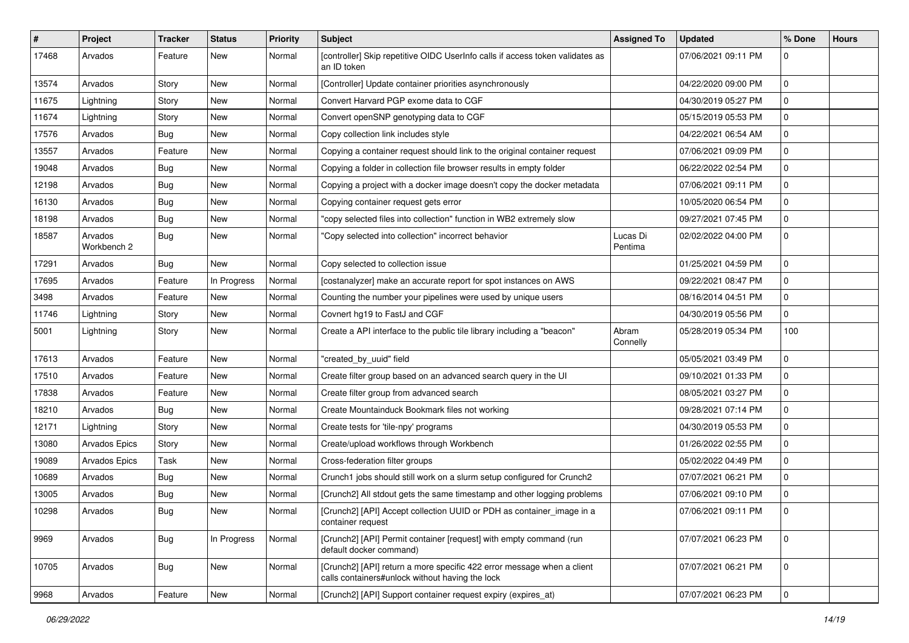| $\sharp$ | Project                | Tracker    | <b>Status</b> | <b>Priority</b> | <b>Subject</b>                                                                                                            | <b>Assigned To</b>  | <b>Updated</b>      | % Done      | <b>Hours</b> |
|----------|------------------------|------------|---------------|-----------------|---------------------------------------------------------------------------------------------------------------------------|---------------------|---------------------|-------------|--------------|
| 17468    | Arvados                | Feature    | New           | Normal          | [controller] Skip repetitive OIDC UserInfo calls if access token validates as<br>an ID token                              |                     | 07/06/2021 09:11 PM | 0           |              |
| 13574    | Arvados                | Story      | New           | Normal          | [Controller] Update container priorities asynchronously                                                                   |                     | 04/22/2020 09:00 PM | 0           |              |
| 11675    | Lightning              | Story      | <b>New</b>    | Normal          | Convert Harvard PGP exome data to CGF                                                                                     |                     | 04/30/2019 05:27 PM | 0           |              |
| 11674    | Lightning              | Story      | <b>New</b>    | Normal          | Convert openSNP genotyping data to CGF                                                                                    |                     | 05/15/2019 05:53 PM | 0           |              |
| 17576    | Arvados                | <b>Bug</b> | New           | Normal          | Copy collection link includes style                                                                                       |                     | 04/22/2021 06:54 AM | 0           |              |
| 13557    | Arvados                | Feature    | <b>New</b>    | Normal          | Copying a container request should link to the original container request                                                 |                     | 07/06/2021 09:09 PM | $\mathbf 0$ |              |
| 19048    | Arvados                | <b>Bug</b> | New           | Normal          | Copying a folder in collection file browser results in empty folder                                                       |                     | 06/22/2022 02:54 PM | 0           |              |
| 12198    | Arvados                | <b>Bug</b> | <b>New</b>    | Normal          | Copying a project with a docker image doesn't copy the docker metadata                                                    |                     | 07/06/2021 09:11 PM | $\mathbf 0$ |              |
| 16130    | Arvados                | <b>Bug</b> | <b>New</b>    | Normal          | Copying container request gets error                                                                                      |                     | 10/05/2020 06:54 PM | 0           |              |
| 18198    | Arvados                | <b>Bug</b> | <b>New</b>    | Normal          | "copy selected files into collection" function in WB2 extremely slow                                                      |                     | 09/27/2021 07:45 PM | 0           |              |
| 18587    | Arvados<br>Workbench 2 | <b>Bug</b> | New           | Normal          | "Copy selected into collection" incorrect behavior                                                                        | Lucas Di<br>Pentima | 02/02/2022 04:00 PM | $\mathbf 0$ |              |
| 17291    | Arvados                | <b>Bug</b> | New           | Normal          | Copy selected to collection issue                                                                                         |                     | 01/25/2021 04:59 PM | $\mathbf 0$ |              |
| 17695    | Arvados                | Feature    | In Progress   | Normal          | [costanalyzer] make an accurate report for spot instances on AWS                                                          |                     | 09/22/2021 08:47 PM | $\mathbf 0$ |              |
| 3498     | Arvados                | Feature    | New           | Normal          | Counting the number your pipelines were used by unique users                                                              |                     | 08/16/2014 04:51 PM | 0           |              |
| 11746    | Lightning              | Story      | New           | Normal          | Covnert hg19 to FastJ and CGF                                                                                             |                     | 04/30/2019 05:56 PM | 0           |              |
| 5001     | Lightning              | Story      | <b>New</b>    | Normal          | Create a API interface to the public tile library including a "beacon"                                                    | Abram<br>Connelly   | 05/28/2019 05:34 PM | 100         |              |
| 17613    | Arvados                | Feature    | New           | Normal          | "created_by_uuid" field                                                                                                   |                     | 05/05/2021 03:49 PM | 0           |              |
| 17510    | Arvados                | Feature    | <b>New</b>    | Normal          | Create filter group based on an advanced search query in the UI                                                           |                     | 09/10/2021 01:33 PM | 0           |              |
| 17838    | Arvados                | Feature    | <b>New</b>    | Normal          | Create filter group from advanced search                                                                                  |                     | 08/05/2021 03:27 PM | $\mathbf 0$ |              |
| 18210    | Arvados                | <b>Bug</b> | <b>New</b>    | Normal          | Create Mountainduck Bookmark files not working                                                                            |                     | 09/28/2021 07:14 PM | 0           |              |
| 12171    | Lightning              | Story      | New           | Normal          | Create tests for 'tile-npy' programs                                                                                      |                     | 04/30/2019 05:53 PM | 0           |              |
| 13080    | Arvados Epics          | Story      | <b>New</b>    | Normal          | Create/upload workflows through Workbench                                                                                 |                     | 01/26/2022 02:55 PM | 0           |              |
| 19089    | <b>Arvados Epics</b>   | Task       | <b>New</b>    | Normal          | Cross-federation filter groups                                                                                            |                     | 05/02/2022 04:49 PM | 0           |              |
| 10689    | Arvados                | <b>Bug</b> | New           | Normal          | Crunch1 jobs should still work on a slurm setup configured for Crunch2                                                    |                     | 07/07/2021 06:21 PM | $\mathbf 0$ |              |
| 13005    | Arvados                | <b>Bug</b> | <b>New</b>    | Normal          | [Crunch2] All stdout gets the same timestamp and other logging problems                                                   |                     | 07/06/2021 09:10 PM | $\mathbf 0$ |              |
| 10298    | Arvados                | Bug        | New           | Normal          | [Crunch2] [API] Accept collection UUID or PDH as container_image in a<br>container request                                |                     | 07/06/2021 09:11 PM | 0           |              |
| 9969     | Arvados                | <b>Bug</b> | In Progress   | Normal          | [Crunch2] [API] Permit container [request] with empty command (run<br>default docker command)                             |                     | 07/07/2021 06:23 PM | $\mathbf 0$ |              |
| 10705    | Arvados                | <b>Bug</b> | New           | Normal          | [Crunch2] [API] return a more specific 422 error message when a client<br>calls containers#unlock without having the lock |                     | 07/07/2021 06:21 PM | $\mathbf 0$ |              |
| 9968     | Arvados                | Feature    | New           | Normal          | [Crunch2] [API] Support container request expiry (expires_at)                                                             |                     | 07/07/2021 06:23 PM | $\mathbf 0$ |              |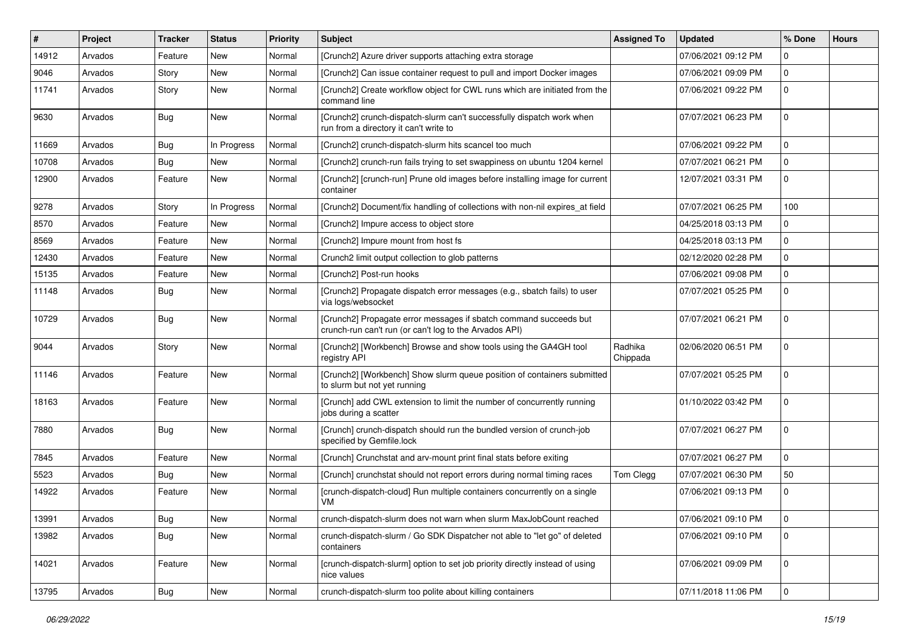| $\vert$ # | Project | <b>Tracker</b> | <b>Status</b> | <b>Priority</b> | <b>Subject</b>                                                                                                              | <b>Assigned To</b>  | <b>Updated</b>      | % Done         | <b>Hours</b> |
|-----------|---------|----------------|---------------|-----------------|-----------------------------------------------------------------------------------------------------------------------------|---------------------|---------------------|----------------|--------------|
| 14912     | Arvados | Feature        | New           | Normal          | [Crunch2] Azure driver supports attaching extra storage                                                                     |                     | 07/06/2021 09:12 PM | $\Omega$       |              |
| 9046      | Arvados | Story          | <b>New</b>    | Normal          | [Crunch2] Can issue container request to pull and import Docker images                                                      |                     | 07/06/2021 09:09 PM | $\mathbf 0$    |              |
| 11741     | Arvados | Story          | <b>New</b>    | Normal          | [Crunch2] Create workflow object for CWL runs which are initiated from the<br>command line                                  |                     | 07/06/2021 09:22 PM | $\mathbf 0$    |              |
| 9630      | Arvados | <b>Bug</b>     | <b>New</b>    | Normal          | [Crunch2] crunch-dispatch-slurm can't successfully dispatch work when<br>run from a directory it can't write to             |                     | 07/07/2021 06:23 PM | $\mathbf 0$    |              |
| 11669     | Arvados | Bug            | In Progress   | Normal          | [Crunch2] crunch-dispatch-slurm hits scancel too much                                                                       |                     | 07/06/2021 09:22 PM | $\mathbf 0$    |              |
| 10708     | Arvados | Bug            | <b>New</b>    | Normal          | [Crunch2] crunch-run fails trying to set swappiness on ubuntu 1204 kernel                                                   |                     | 07/07/2021 06:21 PM | $\mathbf 0$    |              |
| 12900     | Arvados | Feature        | New           | Normal          | [Crunch2] [crunch-run] Prune old images before installing image for current<br>container                                    |                     | 12/07/2021 03:31 PM | $\Omega$       |              |
| 9278      | Arvados | Story          | In Progress   | Normal          | [Crunch2] Document/fix handling of collections with non-nil expires_at field                                                |                     | 07/07/2021 06:25 PM | 100            |              |
| 8570      | Arvados | Feature        | New           | Normal          | [Crunch2] Impure access to object store                                                                                     |                     | 04/25/2018 03:13 PM | $\mathbf 0$    |              |
| 8569      | Arvados | Feature        | <b>New</b>    | Normal          | [Crunch2] Impure mount from host fs                                                                                         |                     | 04/25/2018 03:13 PM | $\mathbf 0$    |              |
| 12430     | Arvados | Feature        | New           | Normal          | Crunch2 limit output collection to glob patterns                                                                            |                     | 02/12/2020 02:28 PM | $\mathbf 0$    |              |
| 15135     | Arvados | Feature        | New           | Normal          | [Crunch2] Post-run hooks                                                                                                    |                     | 07/06/2021 09:08 PM | $\mathbf 0$    |              |
| 11148     | Arvados | Bug            | New           | Normal          | [Crunch2] Propagate dispatch error messages (e.g., sbatch fails) to user<br>via logs/websocket                              |                     | 07/07/2021 05:25 PM | $\mathbf 0$    |              |
| 10729     | Arvados | <b>Bug</b>     | <b>New</b>    | Normal          | [Crunch2] Propagate error messages if sbatch command succeeds but<br>crunch-run can't run (or can't log to the Arvados API) |                     | 07/07/2021 06:21 PM | $\mathbf 0$    |              |
| 9044      | Arvados | Story          | New           | Normal          | [Crunch2] [Workbench] Browse and show tools using the GA4GH tool<br>registry API                                            | Radhika<br>Chippada | 02/06/2020 06:51 PM | $\mathbf 0$    |              |
| 11146     | Arvados | Feature        | <b>New</b>    | Normal          | [Crunch2] [Workbench] Show slurm queue position of containers submitted<br>to slurm but not yet running                     |                     | 07/07/2021 05:25 PM | $\mathbf 0$    |              |
| 18163     | Arvados | Feature        | <b>New</b>    | Normal          | [Crunch] add CWL extension to limit the number of concurrently running<br>jobs during a scatter                             |                     | 01/10/2022 03:42 PM | $\mathbf 0$    |              |
| 7880      | Arvados | <b>Bug</b>     | New           | Normal          | [Crunch] crunch-dispatch should run the bundled version of crunch-job<br>specified by Gemfile.lock                          |                     | 07/07/2021 06:27 PM | $\mathbf 0$    |              |
| 7845      | Arvados | Feature        | <b>New</b>    | Normal          | [Crunch] Crunchstat and arv-mount print final stats before exiting                                                          |                     | 07/07/2021 06:27 PM | $\Omega$       |              |
| 5523      | Arvados | <b>Bug</b>     | <b>New</b>    | Normal          | [Crunch] crunchstat should not report errors during normal timing races                                                     | Tom Clegg           | 07/07/2021 06:30 PM | 50             |              |
| 14922     | Arvados | Feature        | New           | Normal          | [crunch-dispatch-cloud] Run multiple containers concurrently on a single<br>VM                                              |                     | 07/06/2021 09:13 PM | $\mathbf 0$    |              |
| 13991     | Arvados | Bug            | New           | Normal          | crunch-dispatch-slurm does not warn when slurm MaxJobCount reached                                                          |                     | 07/06/2021 09:10 PM | l 0            |              |
| 13982     | Arvados | <b>Bug</b>     | New           | Normal          | crunch-dispatch-slurm / Go SDK Dispatcher not able to "let go" of deleted<br>containers                                     |                     | 07/06/2021 09:10 PM | $\mathbf 0$    |              |
| 14021     | Arvados | Feature        | New           | Normal          | [crunch-dispatch-slurm] option to set job priority directly instead of using<br>nice values                                 |                     | 07/06/2021 09:09 PM | $\mathbf 0$    |              |
| 13795     | Arvados | <b>Bug</b>     | New           | Normal          | crunch-dispatch-slurm too polite about killing containers                                                                   |                     | 07/11/2018 11:06 PM | $\overline{0}$ |              |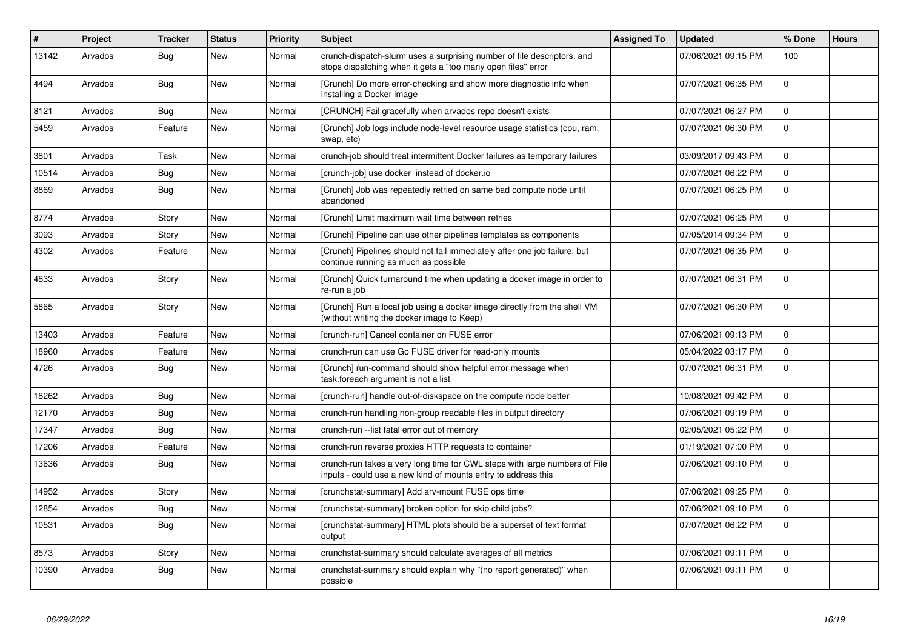| $\#$  | Project | <b>Tracker</b> | <b>Status</b> | <b>Priority</b> | <b>Subject</b>                                                                                                                              | <b>Assigned To</b> | <b>Updated</b>      | % Done       | <b>Hours</b> |
|-------|---------|----------------|---------------|-----------------|---------------------------------------------------------------------------------------------------------------------------------------------|--------------------|---------------------|--------------|--------------|
| 13142 | Arvados | Bug            | <b>New</b>    | Normal          | crunch-dispatch-slurm uses a surprising number of file descriptors, and<br>stops dispatching when it gets a "too many open files" error     |                    | 07/06/2021 09:15 PM | 100          |              |
| 4494  | Arvados | Bug            | New           | Normal          | [Crunch] Do more error-checking and show more diagnostic info when<br>installing a Docker image                                             |                    | 07/07/2021 06:35 PM | $\mathbf 0$  |              |
| 8121  | Arvados | <b>Bug</b>     | <b>New</b>    | Normal          | [CRUNCH] Fail gracefully when arvados repo doesn't exists                                                                                   |                    | 07/07/2021 06:27 PM | $\mathbf{0}$ |              |
| 5459  | Arvados | Feature        | <b>New</b>    | Normal          | [Crunch] Job logs include node-level resource usage statistics (cpu, ram,<br>swap, etc)                                                     |                    | 07/07/2021 06:30 PM | $\Omega$     |              |
| 3801  | Arvados | Task           | <b>New</b>    | Normal          | crunch-job should treat intermittent Docker failures as temporary failures                                                                  |                    | 03/09/2017 09:43 PM | $\mathbf 0$  |              |
| 10514 | Arvados | <b>Bug</b>     | <b>New</b>    | Normal          | [crunch-job] use docker instead of docker.io                                                                                                |                    | 07/07/2021 06:22 PM | $\mathbf 0$  |              |
| 8869  | Arvados | <b>Bug</b>     | <b>New</b>    | Normal          | [Crunch] Job was repeatedly retried on same bad compute node until<br>abandoned                                                             |                    | 07/07/2021 06:25 PM | $\mathbf 0$  |              |
| 8774  | Arvados | Story          | <b>New</b>    | Normal          | [Crunch] Limit maximum wait time between retries                                                                                            |                    | 07/07/2021 06:25 PM | $\mathbf 0$  |              |
| 3093  | Arvados | Story          | <b>New</b>    | Normal          | [Crunch] Pipeline can use other pipelines templates as components                                                                           |                    | 07/05/2014 09:34 PM | 0            |              |
| 4302  | Arvados | Feature        | <b>New</b>    | Normal          | [Crunch] Pipelines should not fail immediately after one job failure, but<br>continue running as much as possible                           |                    | 07/07/2021 06:35 PM | $\Omega$     |              |
| 4833  | Arvados | Story          | <b>New</b>    | Normal          | [Crunch] Quick turnaround time when updating a docker image in order to<br>re-run a job                                                     |                    | 07/07/2021 06:31 PM | $\Omega$     |              |
| 5865  | Arvados | Story          | <b>New</b>    | Normal          | [Crunch] Run a local job using a docker image directly from the shell VM<br>(without writing the docker image to Keep)                      |                    | 07/07/2021 06:30 PM | $\mathbf 0$  |              |
| 13403 | Arvados | Feature        | <b>New</b>    | Normal          | [crunch-run] Cancel container on FUSE error                                                                                                 |                    | 07/06/2021 09:13 PM | $\Omega$     |              |
| 18960 | Arvados | Feature        | <b>New</b>    | Normal          | crunch-run can use Go FUSE driver for read-only mounts                                                                                      |                    | 05/04/2022 03:17 PM | 0            |              |
| 4726  | Arvados | Bug            | New           | Normal          | [Crunch] run-command should show helpful error message when<br>task.foreach argument is not a list                                          |                    | 07/07/2021 06:31 PM | $\mathbf 0$  |              |
| 18262 | Arvados | <b>Bug</b>     | <b>New</b>    | Normal          | [crunch-run] handle out-of-diskspace on the compute node better                                                                             |                    | 10/08/2021 09:42 PM | $\mathbf 0$  |              |
| 12170 | Arvados | Bug            | <b>New</b>    | Normal          | crunch-run handling non-group readable files in output directory                                                                            |                    | 07/06/2021 09:19 PM | $\mathbf 0$  |              |
| 17347 | Arvados | Bug            | <b>New</b>    | Normal          | crunch-run -- list fatal error out of memory                                                                                                |                    | 02/05/2021 05:22 PM | 0            |              |
| 17206 | Arvados | Feature        | <b>New</b>    | Normal          | crunch-run reverse proxies HTTP requests to container                                                                                       |                    | 01/19/2021 07:00 PM | $\mathbf{0}$ |              |
| 13636 | Arvados | Bug            | <b>New</b>    | Normal          | crunch-run takes a very long time for CWL steps with large numbers of File<br>inputs - could use a new kind of mounts entry to address this |                    | 07/06/2021 09:10 PM | $\mathbf 0$  |              |
| 14952 | Arvados | Story          | <b>New</b>    | Normal          | [crunchstat-summary] Add arv-mount FUSE ops time                                                                                            |                    | 07/06/2021 09:25 PM | $\mathbf 0$  |              |
| 12854 | Arvados | Bug            | <b>New</b>    | Normal          | [crunchstat-summary] broken option for skip child jobs?                                                                                     |                    | 07/06/2021 09:10 PM | $\pmb{0}$    |              |
| 10531 | Arvados | <b>Bug</b>     | <b>New</b>    | Normal          | [crunchstat-summary] HTML plots should be a superset of text format<br>output                                                               |                    | 07/07/2021 06:22 PM | $\mathbf 0$  |              |
| 8573  | Arvados | Story          | <b>New</b>    | Normal          | crunchstat-summary should calculate averages of all metrics                                                                                 |                    | 07/06/2021 09:11 PM | $\mathbf 0$  |              |
| 10390 | Arvados | Bug            | <b>New</b>    | Normal          | crunchstat-summary should explain why "(no report generated)" when<br>possible                                                              |                    | 07/06/2021 09:11 PM | $\mathbf 0$  |              |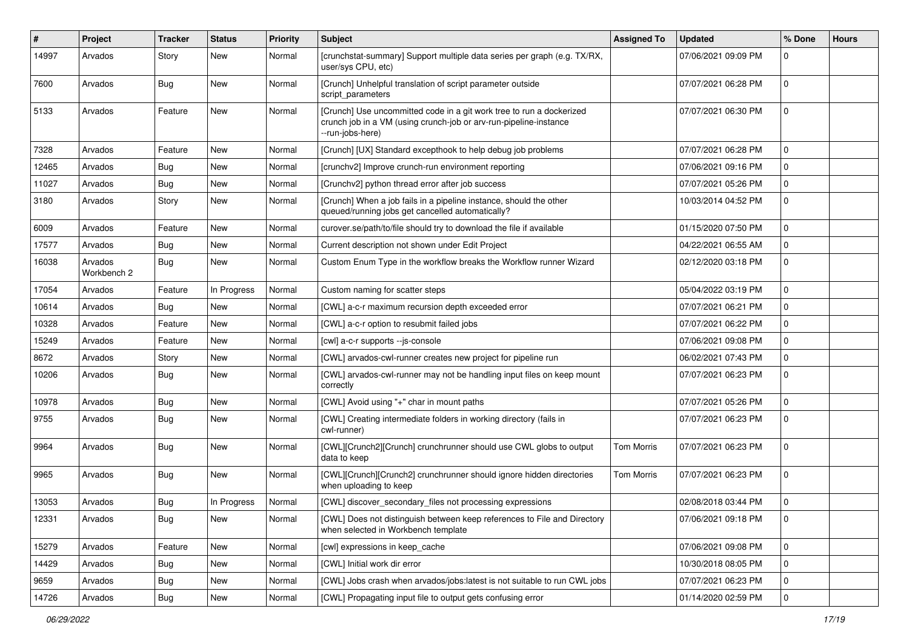| #     | Project                | <b>Tracker</b> | <b>Status</b> | <b>Priority</b> | <b>Subject</b>                                                                                                                                                | <b>Assigned To</b> | <b>Updated</b>      | % Done      | <b>Hours</b> |
|-------|------------------------|----------------|---------------|-----------------|---------------------------------------------------------------------------------------------------------------------------------------------------------------|--------------------|---------------------|-------------|--------------|
| 14997 | Arvados                | Story          | New           | Normal          | [crunchstat-summary] Support multiple data series per graph (e.g. TX/RX,<br>user/sys CPU, etc)                                                                |                    | 07/06/2021 09:09 PM | $\Omega$    |              |
| 7600  | Arvados                | Bug            | New           | Normal          | [Crunch] Unhelpful translation of script parameter outside<br>script_parameters                                                                               |                    | 07/07/2021 06:28 PM | 0           |              |
| 5133  | Arvados                | Feature        | New           | Normal          | [Crunch] Use uncommitted code in a git work tree to run a dockerized<br>crunch job in a VM (using crunch-job or arv-run-pipeline-instance<br>--run-jobs-here) |                    | 07/07/2021 06:30 PM | 0           |              |
| 7328  | Arvados                | Feature        | New           | Normal          | [Crunch] [UX] Standard excepthook to help debug job problems                                                                                                  |                    | 07/07/2021 06:28 PM | 0           |              |
| 12465 | Arvados                | Bug            | New           | Normal          | [crunchv2] Improve crunch-run environment reporting                                                                                                           |                    | 07/06/2021 09:16 PM | $\mathbf 0$ |              |
| 11027 | Arvados                | Bug            | New           | Normal          | [Crunchv2] python thread error after job success                                                                                                              |                    | 07/07/2021 05:26 PM | 0           |              |
| 3180  | Arvados                | Story          | New           | Normal          | [Crunch] When a job fails in a pipeline instance, should the other<br>queued/running jobs get cancelled automatically?                                        |                    | 10/03/2014 04:52 PM | 0           |              |
| 6009  | Arvados                | Feature        | <b>New</b>    | Normal          | curover.se/path/to/file should try to download the file if available                                                                                          |                    | 01/15/2020 07:50 PM | 0           |              |
| 17577 | Arvados                | Bug            | New           | Normal          | Current description not shown under Edit Project                                                                                                              |                    | 04/22/2021 06:55 AM | 0           |              |
| 16038 | Arvados<br>Workbench 2 | Bug            | New           | Normal          | Custom Enum Type in the workflow breaks the Workflow runner Wizard                                                                                            |                    | 02/12/2020 03:18 PM | 0           |              |
| 17054 | Arvados                | Feature        | In Progress   | Normal          | Custom naming for scatter steps                                                                                                                               |                    | 05/04/2022 03:19 PM | $\mathbf 0$ |              |
| 10614 | Arvados                | Bug            | <b>New</b>    | Normal          | [CWL] a-c-r maximum recursion depth exceeded error                                                                                                            |                    | 07/07/2021 06:21 PM | 0           |              |
| 10328 | Arvados                | Feature        | New           | Normal          | [CWL] a-c-r option to resubmit failed jobs                                                                                                                    |                    | 07/07/2021 06:22 PM | 0           |              |
| 15249 | Arvados                | Feature        | New           | Normal          | [cwl] a-c-r supports --js-console                                                                                                                             |                    | 07/06/2021 09:08 PM | 0           |              |
| 8672  | Arvados                | Story          | New           | Normal          | [CWL] arvados-cwl-runner creates new project for pipeline run                                                                                                 |                    | 06/02/2021 07:43 PM | 0           |              |
| 10206 | Arvados                | <b>Bug</b>     | New           | Normal          | [CWL] arvados-cwl-runner may not be handling input files on keep mount<br>correctly                                                                           |                    | 07/07/2021 06:23 PM | $\mathbf 0$ |              |
| 10978 | Arvados                | Bug            | New           | Normal          | [CWL] Avoid using "+" char in mount paths                                                                                                                     |                    | 07/07/2021 05:26 PM | 0           |              |
| 9755  | Arvados                | <b>Bug</b>     | New           | Normal          | [CWL] Creating intermediate folders in working directory (fails in<br>cwl-runner)                                                                             |                    | 07/07/2021 06:23 PM | $\mathbf 0$ |              |
| 9964  | Arvados                | Bug            | <b>New</b>    | Normal          | [CWL][Crunch2][Crunch] crunchrunner should use CWL globs to output<br>data to keep                                                                            | Tom Morris         | 07/07/2021 06:23 PM | 0           |              |
| 9965  | Arvados                | Bug            | New           | Normal          | [CWL][Crunch][Crunch2] crunchrunner should ignore hidden directories<br>when uploading to keep                                                                | <b>Tom Morris</b>  | 07/07/2021 06:23 PM | $\mathbf 0$ |              |
| 13053 | Arvados                | Bug            | In Progress   | Normal          | [CWL] discover_secondary_files not processing expressions                                                                                                     |                    | 02/08/2018 03:44 PM | $\mathbf 0$ |              |
| 12331 | Arvados                | <b>Bug</b>     | New           | Normal          | [CWL] Does not distinguish between keep references to File and Directory<br>when selected in Workbench template                                               |                    | 07/06/2021 09:18 PM | 0           |              |
| 15279 | Arvados                | Feature        | New           | Normal          | [cwl] expressions in keep_cache                                                                                                                               |                    | 07/06/2021 09:08 PM | $\pmb{0}$   |              |
| 14429 | Arvados                | <b>Bug</b>     | New           | Normal          | [CWL] Initial work dir error                                                                                                                                  |                    | 10/30/2018 08:05 PM | 0           |              |
| 9659  | Arvados                | <b>Bug</b>     | New           | Normal          | [CWL] Jobs crash when arvados/jobs:latest is not suitable to run CWL jobs                                                                                     |                    | 07/07/2021 06:23 PM | 0           |              |
| 14726 | Arvados                | <b>Bug</b>     | New           | Normal          | [CWL] Propagating input file to output gets confusing error                                                                                                   |                    | 01/14/2020 02:59 PM | $\mathbf 0$ |              |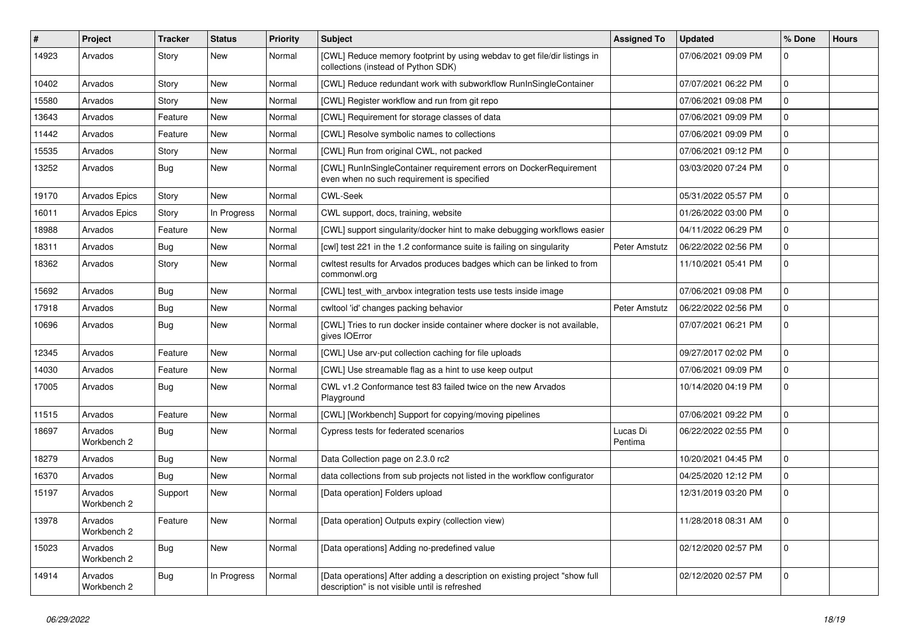| #     | Project                | <b>Tracker</b> | <b>Status</b> | <b>Priority</b> | <b>Subject</b>                                                                                                                | <b>Assigned To</b>  | <b>Updated</b>      | % Done       | <b>Hours</b> |
|-------|------------------------|----------------|---------------|-----------------|-------------------------------------------------------------------------------------------------------------------------------|---------------------|---------------------|--------------|--------------|
| 14923 | Arvados                | Story          | New           | Normal          | [CWL] Reduce memory footprint by using webday to get file/dir listings in<br>collections (instead of Python SDK)              |                     | 07/06/2021 09:09 PM | $\mathbf 0$  |              |
| 10402 | Arvados                | Story          | <b>New</b>    | Normal          | [CWL] Reduce redundant work with subworkflow RunInSingleContainer                                                             |                     | 07/07/2021 06:22 PM | $\mathbf 0$  |              |
| 15580 | Arvados                | Story          | <b>New</b>    | Normal          | [CWL] Register workflow and run from git repo                                                                                 |                     | 07/06/2021 09:08 PM | $\mathbf 0$  |              |
| 13643 | Arvados                | Feature        | New           | Normal          | [CWL] Requirement for storage classes of data                                                                                 |                     | 07/06/2021 09:09 PM | $\pmb{0}$    |              |
| 11442 | Arvados                | Feature        | <b>New</b>    | Normal          | [CWL] Resolve symbolic names to collections                                                                                   |                     | 07/06/2021 09:09 PM | $\mathbf 0$  |              |
| 15535 | Arvados                | Story          | New           | Normal          | [CWL] Run from original CWL, not packed                                                                                       |                     | 07/06/2021 09:12 PM | $\mathbf{0}$ |              |
| 13252 | Arvados                | Bug            | <b>New</b>    | Normal          | [CWL] RunInSingleContainer requirement errors on DockerRequirement<br>even when no such requirement is specified              |                     | 03/03/2020 07:24 PM | $\mathbf{0}$ |              |
| 19170 | Arvados Epics          | Story          | <b>New</b>    | Normal          | <b>CWL-Seek</b>                                                                                                               |                     | 05/31/2022 05:57 PM | $\mathbf{0}$ |              |
| 16011 | Arvados Epics          | Story          | In Progress   | Normal          | CWL support, docs, training, website                                                                                          |                     | 01/26/2022 03:00 PM | $\mathbf 0$  |              |
| 18988 | Arvados                | Feature        | <b>New</b>    | Normal          | [CWL] support singularity/docker hint to make debugging workflows easier                                                      |                     | 04/11/2022 06:29 PM | $\mathbf 0$  |              |
| 18311 | Arvados                | <b>Bug</b>     | <b>New</b>    | Normal          | [cwl] test 221 in the 1.2 conformance suite is failing on singularity                                                         | Peter Amstutz       | 06/22/2022 02:56 PM | $\mathbf 0$  |              |
| 18362 | Arvados                | Story          | New           | Normal          | cwltest results for Arvados produces badges which can be linked to from<br>commonwl.org                                       |                     | 11/10/2021 05:41 PM | $\mathbf 0$  |              |
| 15692 | Arvados                | Bug            | <b>New</b>    | Normal          | [CWL] test with arvbox integration tests use tests inside image                                                               |                     | 07/06/2021 09:08 PM | $\pmb{0}$    |              |
| 17918 | Arvados                | Bug            | New           | Normal          | cwltool 'id' changes packing behavior                                                                                         | Peter Amstutz       | 06/22/2022 02:56 PM | $\mathbf 0$  |              |
| 10696 | Arvados                | Bug            | New           | Normal          | [CWL] Tries to run docker inside container where docker is not available,<br>gives IOError                                    |                     | 07/07/2021 06:21 PM | $\mathbf 0$  |              |
| 12345 | Arvados                | Feature        | <b>New</b>    | Normal          | [CWL] Use arv-put collection caching for file uploads                                                                         |                     | 09/27/2017 02:02 PM | $\pmb{0}$    |              |
| 14030 | Arvados                | Feature        | New           | Normal          | [CWL] Use streamable flag as a hint to use keep output                                                                        |                     | 07/06/2021 09:09 PM | $\mathbf{0}$ |              |
| 17005 | Arvados                | Bug            | <b>New</b>    | Normal          | CWL v1.2 Conformance test 83 failed twice on the new Arvados<br>Playground                                                    |                     | 10/14/2020 04:19 PM | $\mathbf{0}$ |              |
| 11515 | Arvados                | Feature        | <b>New</b>    | Normal          | [CWL] [Workbench] Support for copying/moving pipelines                                                                        |                     | 07/06/2021 09:22 PM | $\Omega$     |              |
| 18697 | Arvados<br>Workbench 2 | <b>Bug</b>     | <b>New</b>    | Normal          | Cypress tests for federated scenarios                                                                                         | Lucas Di<br>Pentima | 06/22/2022 02:55 PM | $\mathbf{0}$ |              |
| 18279 | Arvados                | Bug            | <b>New</b>    | Normal          | Data Collection page on 2.3.0 rc2                                                                                             |                     | 10/20/2021 04:45 PM | $\mathbf{0}$ |              |
| 16370 | Arvados                | Bug            | New           | Normal          | data collections from sub projects not listed in the workflow configurator                                                    |                     | 04/25/2020 12:12 PM | $\mathbf 0$  |              |
| 15197 | Arvados<br>Workbench 2 | Support        | <b>New</b>    | Normal          | [Data operation] Folders upload                                                                                               |                     | 12/31/2019 03:20 PM | $\mathbf 0$  |              |
| 13978 | Arvados<br>Workbench 2 | Feature        | New           | Normal          | [Data operation] Outputs expiry (collection view)                                                                             |                     | 11/28/2018 08:31 AM | $\Omega$     |              |
| 15023 | Arvados<br>Workbench 2 | Bug            | <b>New</b>    | Normal          | [Data operations] Adding no-predefined value                                                                                  |                     | 02/12/2020 02:57 PM | $\mathbf 0$  |              |
| 14914 | Arvados<br>Workbench 2 | Bug            | In Progress   | Normal          | [Data operations] After adding a description on existing project "show full<br>description" is not visible until is refreshed |                     | 02/12/2020 02:57 PM | $\mathbf 0$  |              |